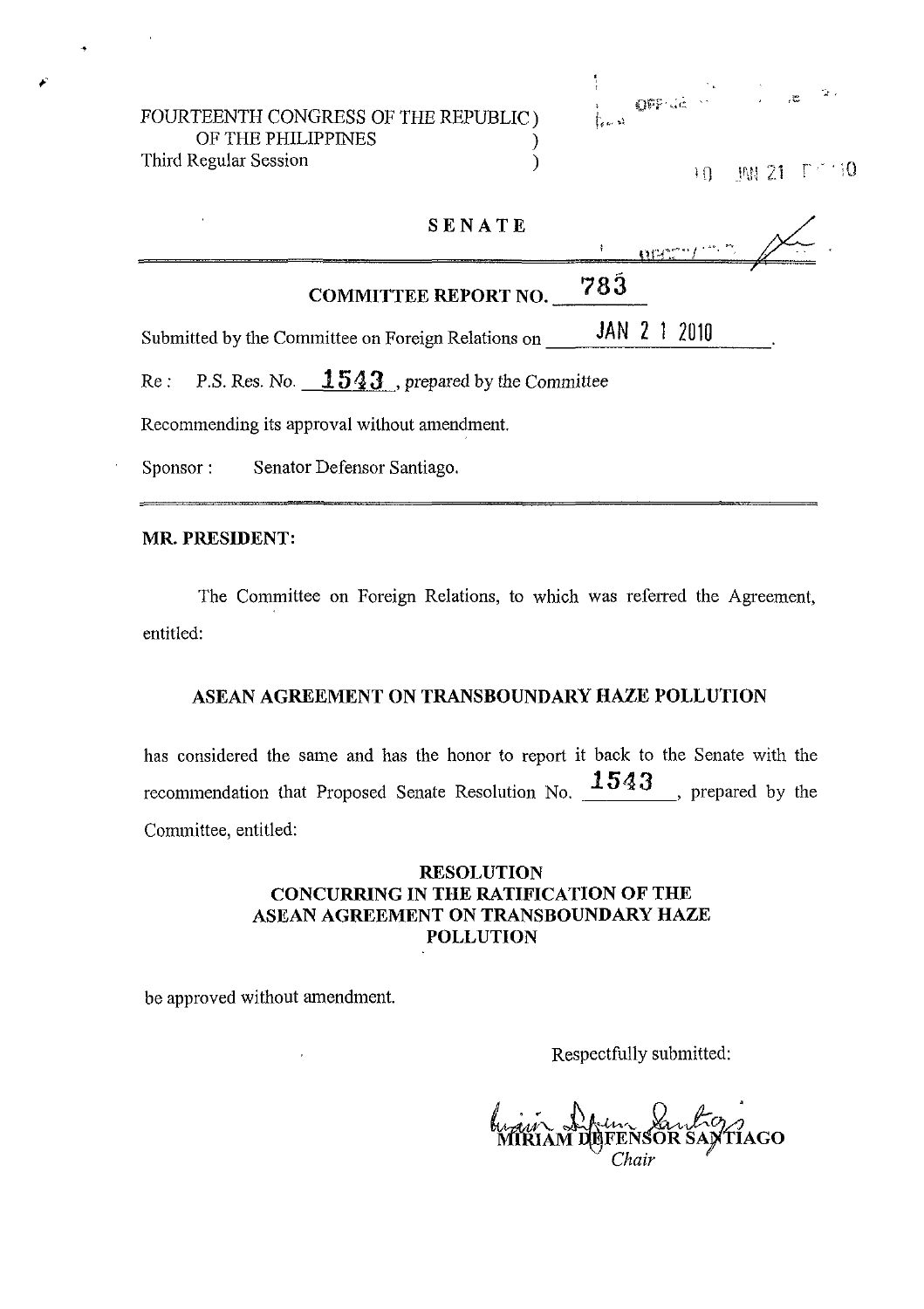| FOURTEENTH CONGRESS OF THE REPUBLIC)<br>OF THE PHILIPPINES<br>Third Regular Session |     |  | $\mathbb{CP}^n$ and $\mathbb{CP}^n$<br>$\overline{10}$ | $MN 21 T^{23}30$ |  |  |  |  |
|-------------------------------------------------------------------------------------|-----|--|--------------------------------------------------------|------------------|--|--|--|--|
| <b>SENATE</b>                                                                       |     |  | <b>ABC</b> of the my                                   |                  |  |  |  |  |
| <b>COMMITTEE REPORT NO.</b>                                                         | 783 |  |                                                        |                  |  |  |  |  |
| Submitted by the Committee on Foreign Relations on                                  |     |  | <b>JAN 2 1</b><br>-2010                                |                  |  |  |  |  |
| P.S. Res. No. $1543$ , prepared by the Committee<br>Re:                             |     |  |                                                        |                  |  |  |  |  |
| Recommending its approval without amendment.                                        |     |  |                                                        |                  |  |  |  |  |
|                                                                                     |     |  |                                                        |                  |  |  |  |  |

Sponsor: Senator Defensor Santiago.

#### **MR. PRESIDENT:**

 $\sim$ 

 $\epsilon$ 

 $\rightarrow$ 

The Committee on Foreign Relations, to which was referred the Agreement, entitled:

#### **ASEAN AGREEMENT ON TRANSBOUNDARY HAZE POLLUTION**

has considered the same and has the honor to report it back to the Senate with the recommendation that Proposed Senate Resolution No.  $1543$ , prepared by the Committee, entitled:

#### **RESOLUTION CONCURRING IN THE RATIFICATION OF THE ASEAN AGREEMENT ON TRANSBOUNDARY HAZE POLLUTION**

be approved without amendment.

 $\overline{\phantom{a}}$ 

Respectfully submitted:

luzin Dun Yulton *Chair*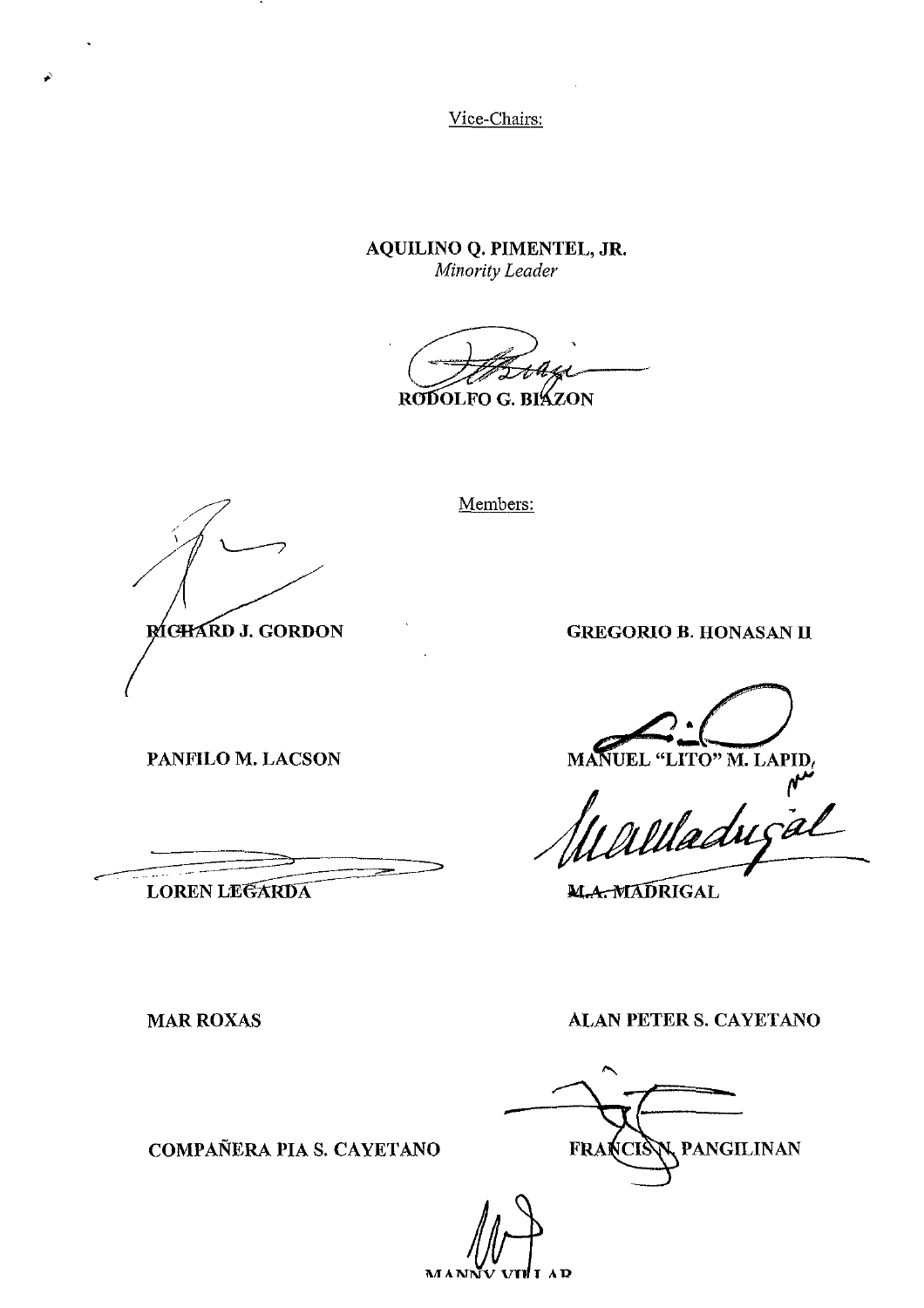Vice-Chairs:

AQUILINO Q. PIMENTEL, JR. *Minority Leader* 

RODOLFO G. BIÁZON

RÍCHARD J. GORDON GREGORIO B. HONASAN II

PANFILO M. LACSON

**LOREN LEGARDA** 

Members:

MANUEL "LITO" M. LAPID,

no m. LAFIN

M.A. MADRIGAL

MAR ROXAS ALAN PETER S. CAYETANO

COMPAÑERA PIA S. CAYETANO FRANCISON, PANGILINAN

**MANN**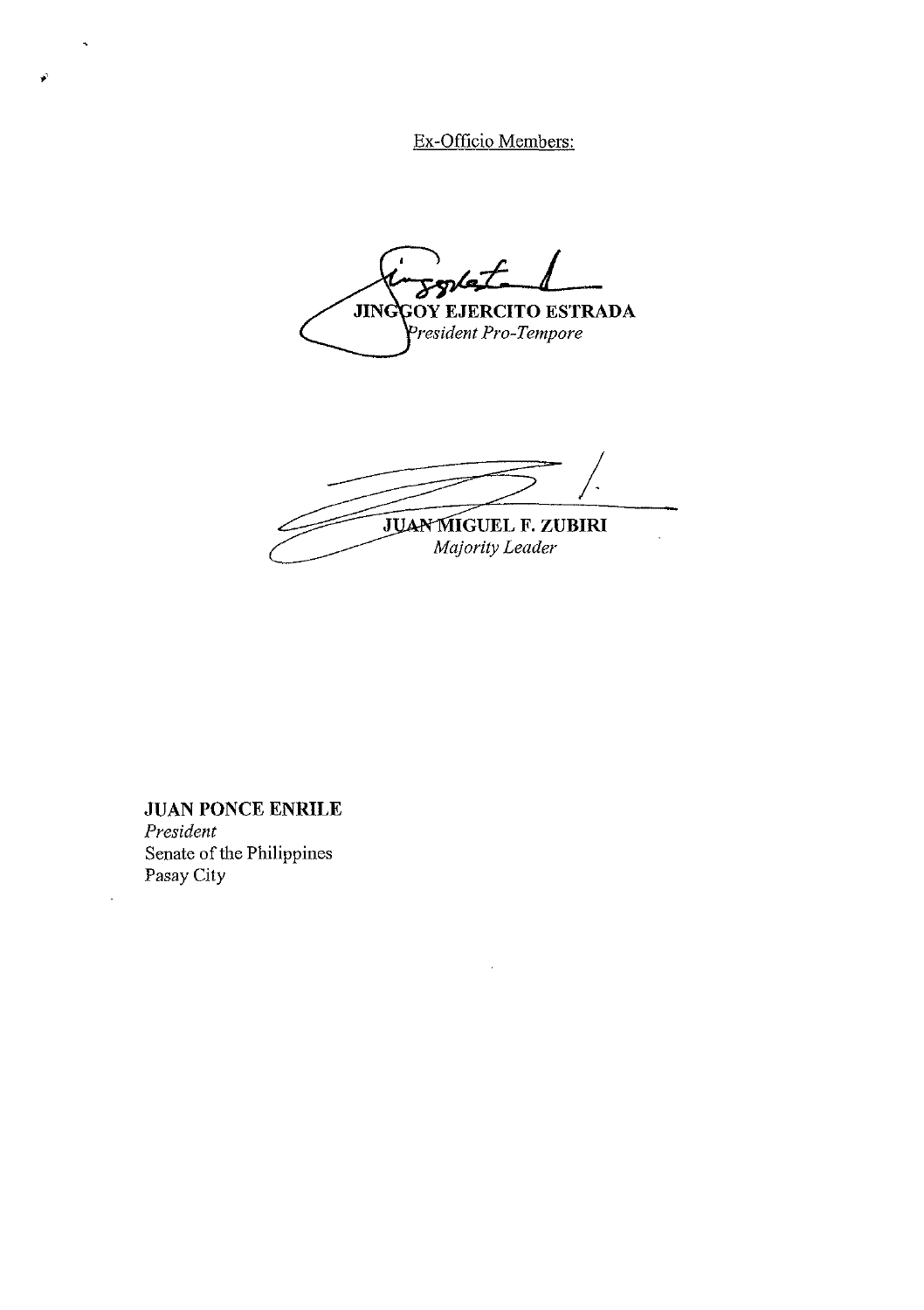Ex-Officio Members:

spla JINGGOY EJERCITO ESTRADA President Pro-Tempore

JUAN MIGUEL F. ZUBIRI Majority Leader

**JUAN PONCE ENRILE** President Senate of the Philippines Pasay City

د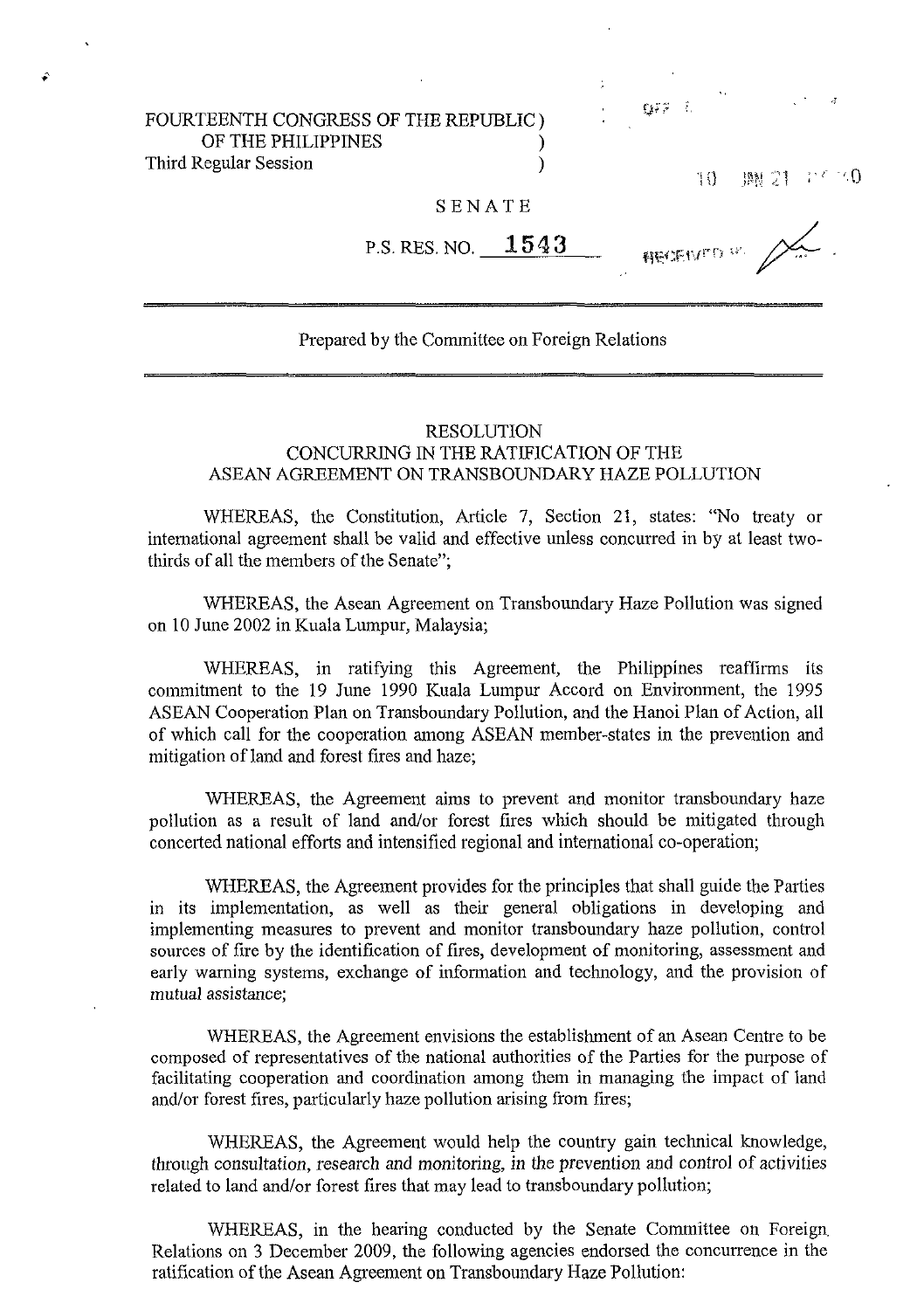| FOURTEENTH CONGRESS OF THE REPUBLIC)        |                    | $0.77 - 0.$             |
|---------------------------------------------|--------------------|-------------------------|
| OF THE PHILIPPINES<br>Third Regular Session |                    | $10 - 30.21$ $10 - 0.0$ |
|                                             | SENATE             |                         |
|                                             | P.S. RES. NO. 1543 | HECEIVED IN A           |
|                                             |                    |                         |

 $\overline{1}$ 

#### Prepared by the Committee on Foreign Relations

#### RESOLUTION CONCURRING IN THE RATIFICATION OF THE ASEAN AGREEMENT ON TRANSBOUNDARY HAZE POLLUTION

WHEREAS, the Constitution, Article 7, Section 21, states: "No treaty or intemational agreement shall be valid and effective unless concurred in by at least twothirds of all the members of the Senate";

WHEREAS, the Asean Agreement on Transboundary Haze Pollution was signed on 10 June 2002 in Kuala Lumpur, Malaysia;

WHEREAS, in ratifying this Agreement, the Philippines reaffirms its commitment to the 19 June 1990 Kuala Lumpur Accord on Environment, the 1995 ASEAN Cooperation Plan on Transboundary Pollution, and the Hanoi Plan of Action, all of which call for the cooperation among ASEAN member-states in the prevention and mitigation of land and forest fires and haze;

WHEREAS, the Agreement aims to prevent and monitor transboundary haze pollution as a result of land aud/or forest fires which should be mitigated through concerted national efforts and intensified regional and intemational co-operation;

WHEREAS, the Agreement provides for the principles that shall guide the Parties in its implementation, as well as their general ohligations in developing aud implementing measures to prevent and monitor transboundary haze pollution, control sources of fire by the identification of fires, development of monitoring, assessment and early warning systems, exchange of information and technology, and the provision of mutual assistance;

WHEREAS, the Agreement envisions the establishment of an Asean Centre to be composed of representatives of the national authorities of the Parties for the purpose of facilitating cooperation aud coordination among them in managing the impact of land and/or forest fires, particularly haze pollution arising from fires;

WHEREAS, the Agreement would help the country gain technical knowledge, through consultation, research and monitoring, in the prevention and control of activities related to land and/or forest fires that may lead to transboundary pollution;

WHEREAS, in the hearing conducted by the Senate Committee on Foreign. Relations on 3 December 2009, the following agencies endorsed the concurrence in the ratification of the Aseau Agreement on Trausboundary Haze Pollution: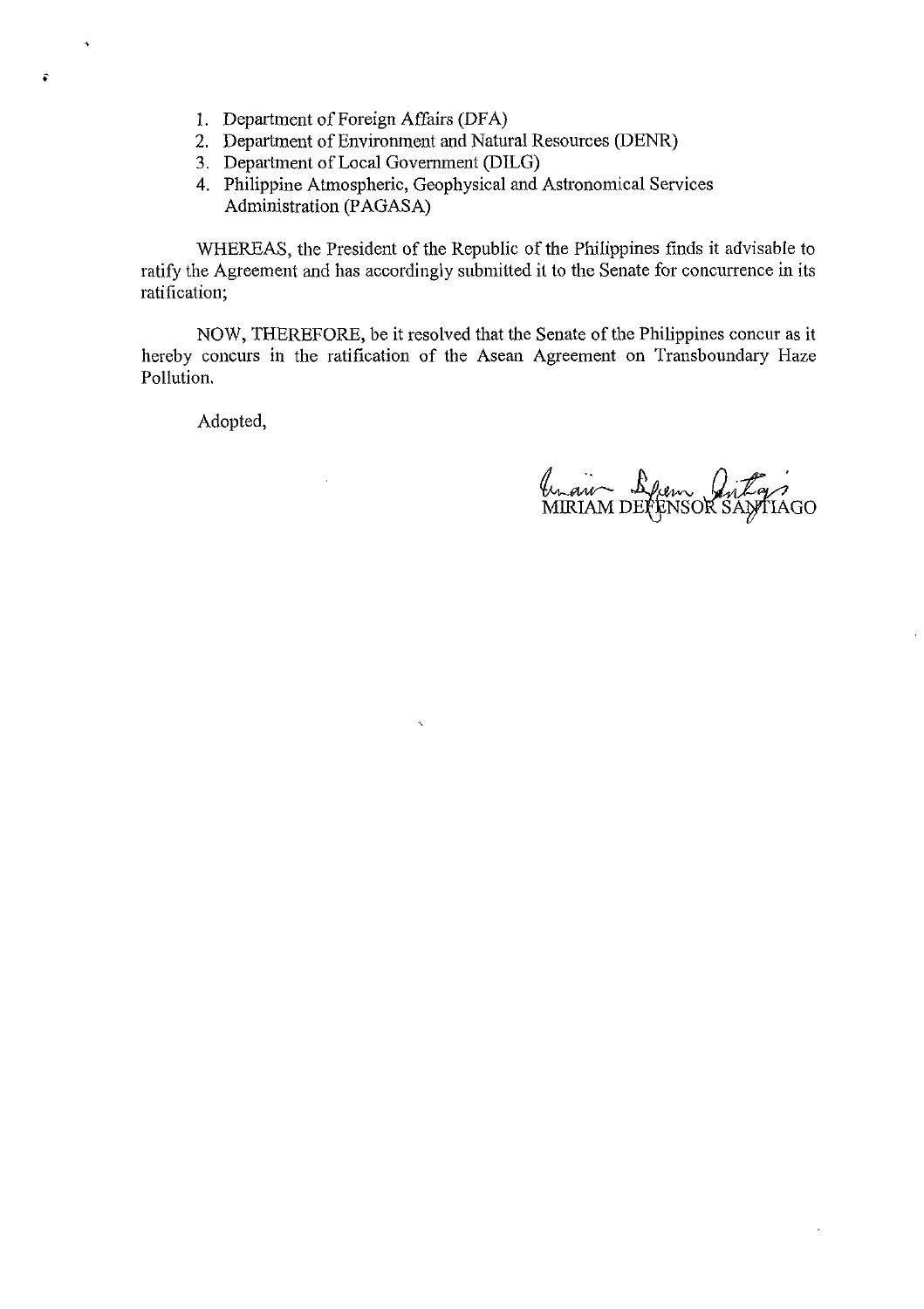- 1. Department of Foreign Affairs (DFA)
- 2. Department of Environment and Natural Resources (DENR)
- 3. Department of Local Government (DILG)
- 4. Philippine Atmospheric, Geophysical and Astronomical Services Administration (PAGASA)

WHEREAS, the President of the Republic of the Philippines finds it advisable to ratify the Agreement and has accordingly submitted it to the Senate for concurrence in its ratification;

NOW, THEREFORE, be it resolved that the Senate of the Philippines concur as it hereby concurs in the ratification of the Asean Agreement on Transboundary Haze Pollution.

Adopted,

 $\ddot{\bullet}$ 

brain Spen fitta MIRIAM DEFENSOK SAMTIAGO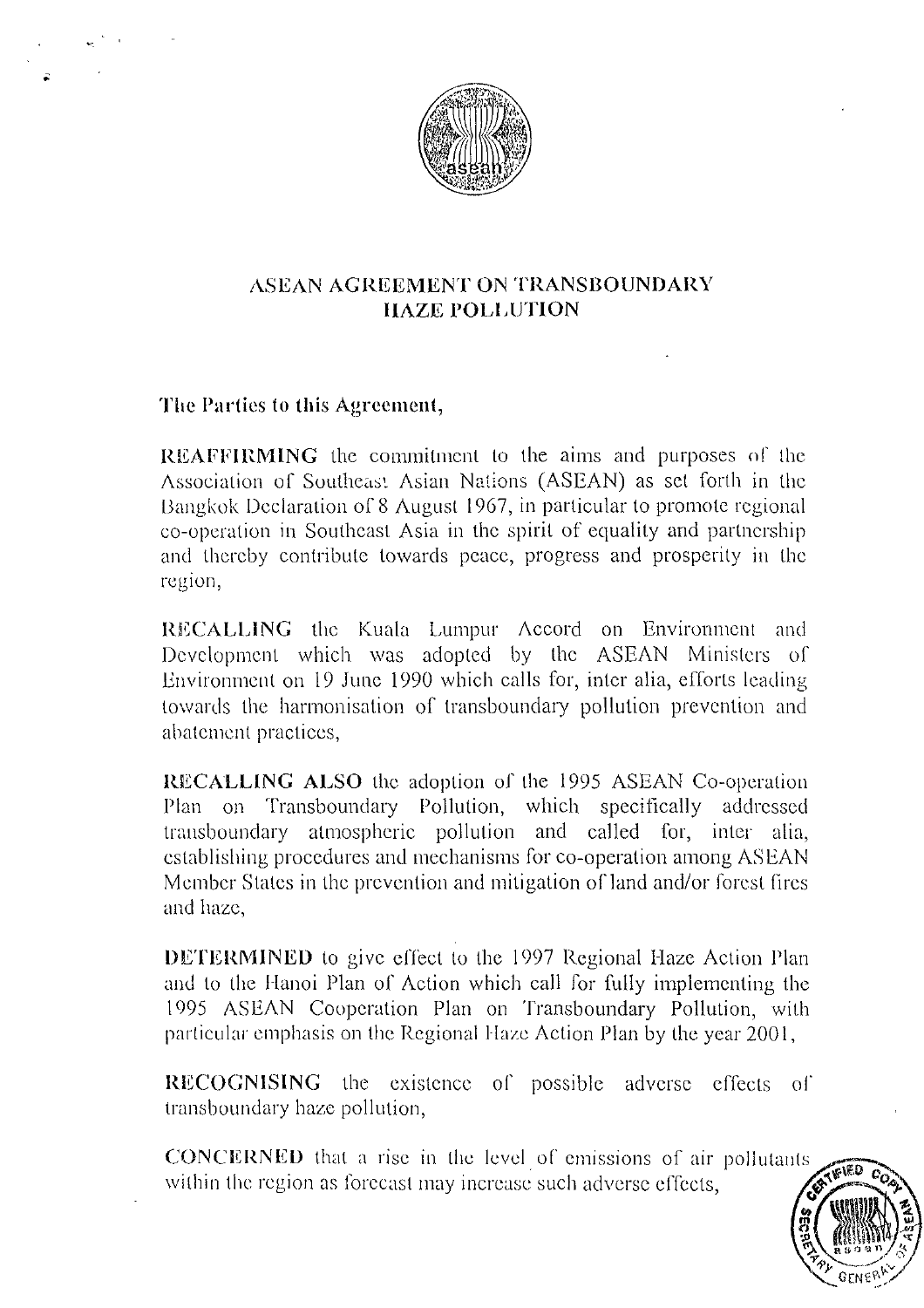

## **ASEAN AGREEMENT ON TRANSBOUNDARY HAZE POLLUTION**

## **The Parties to this Agreement,**

**REAFFIRMING** the commitment to the aims and purposes of the Association of Southeas, Asian Nations (ASEAN) as set forth in the Bangkok Declaration of 8 August 1967, in particular to promote regional co-operation in Southeast Asia in the spirit of equality and partnership and thereby contribute towards peace, progress and prosperity in the region,

**RECALLING** the Kuala Lumpur Aeeord on Environment and Development which was adopted by the ASEAN Ministers of Environment on 19 June 1990 which calls for, inter alia, efforts leading towards the harmonisation of transboundary pollution prevention and abatement practices,

**RECALLING ALSO** the adoption of the 1995 ASEAN Co-operation Plan on Transboundary Pollution, which specifically addressed transboundary atmospheric pollution and called for, inter alia, establishing procedures and mechanisms for co-operation among ASEAN Member States in the prevention and mitigation of land and/or forest fires and haze,

**DETERMINED** to give effect to the 1997 Regional Haze Action Plan and to the Hanoi Plan of Action which call for fully implementing the 1995 ASEAN Cooperation Plan on Transboundary Pollution, with particular emphasis on the Regional Haze Action Plan by the year 2001,

RECOGNISING the existence of possible adverse effects of transboundary haze pollution,

**CONCERNED** that a rise in the level of emissions of air pollutants within the region as forecast may increase such adverse effects,

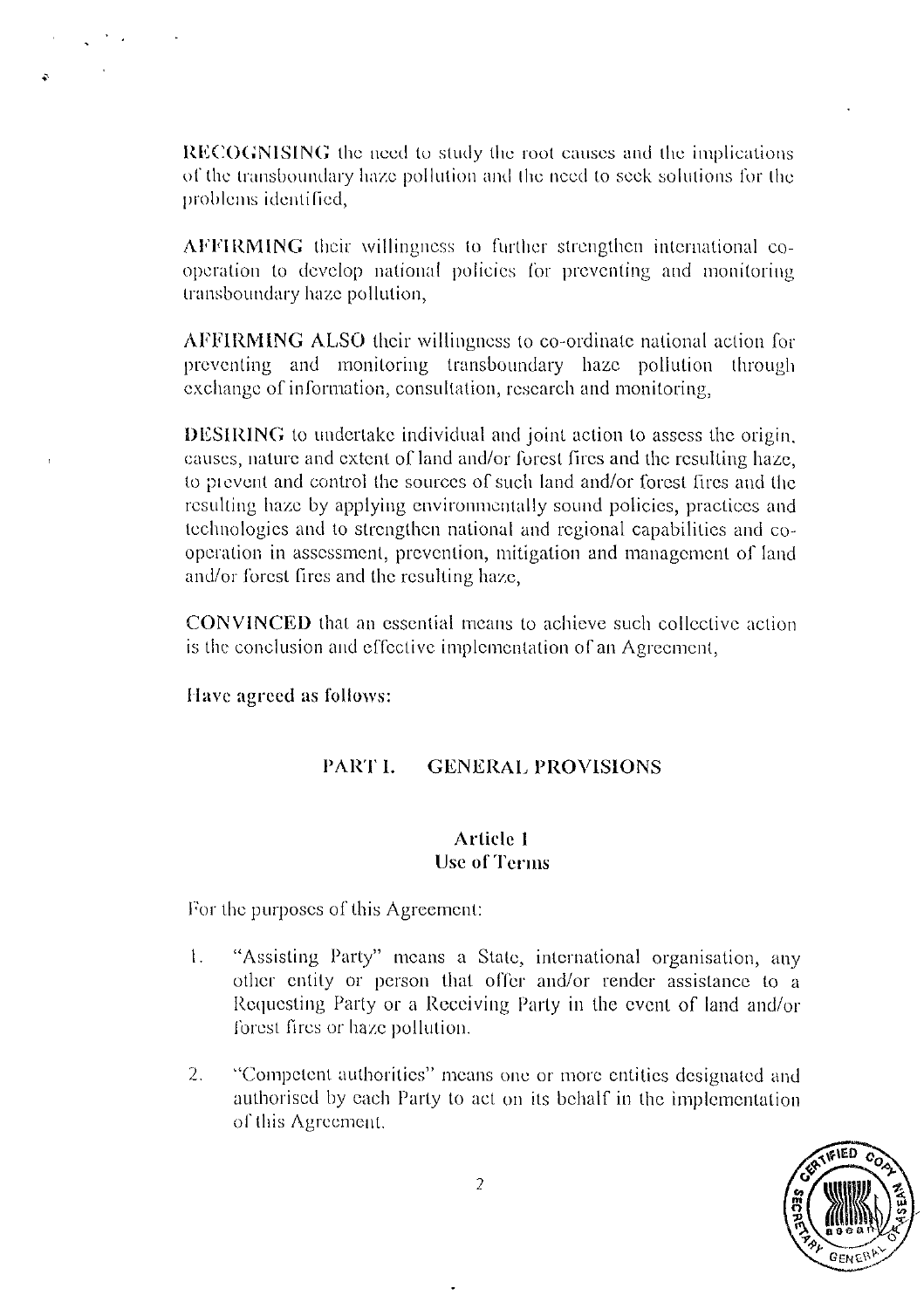RECOGNISING the need to study the root causes and the implications of the transboundary haze pollution and the need to seek solutions for the problems identified,

AFFIRMING their willingness to further strengthen international cooperation to develop national policies Cor preventing and monitoring transboundary haze pollution,

AFFiRMiNG ALSO their willingness to co-ordinate national action [or prevcnting and monitoring transboundary haze pollution through exchange of information, consultation, research and monitoring,

**DESIRING** to undertake individual and joint action to assess the origin. causes, nature and extent of land and/or forest fires and the resulting haze, to prevent and control the sources of such land and/or forest fires and the resulting haze by applying environmentally sound policies, practices and tcchnologies and to strengthen national and regional capabilities and cooperation in assessment, prevention, mitigation and managemcnt of land and/or forest fires and the resulting haze.

CONVINCED that an essential means to achieve such collective action is the conclusion and effective implementation of an Agreement,

Have agreed as follows:

#### PART I. GENERAL PROVISIONS

#### Article I Use of Terms

For the purposes of this Agreement:

- I. "Assisting Party" means a State, international organisation, any other entity or person that offer and/or render assistance to a Requesting Party or a Receiving Party in the event of land and/or forest fires or haze pollution.
- 2. "Competent authorities" means one or more entities designated and authorised by each Party to act on its behalf in the implementation of this Agreement.

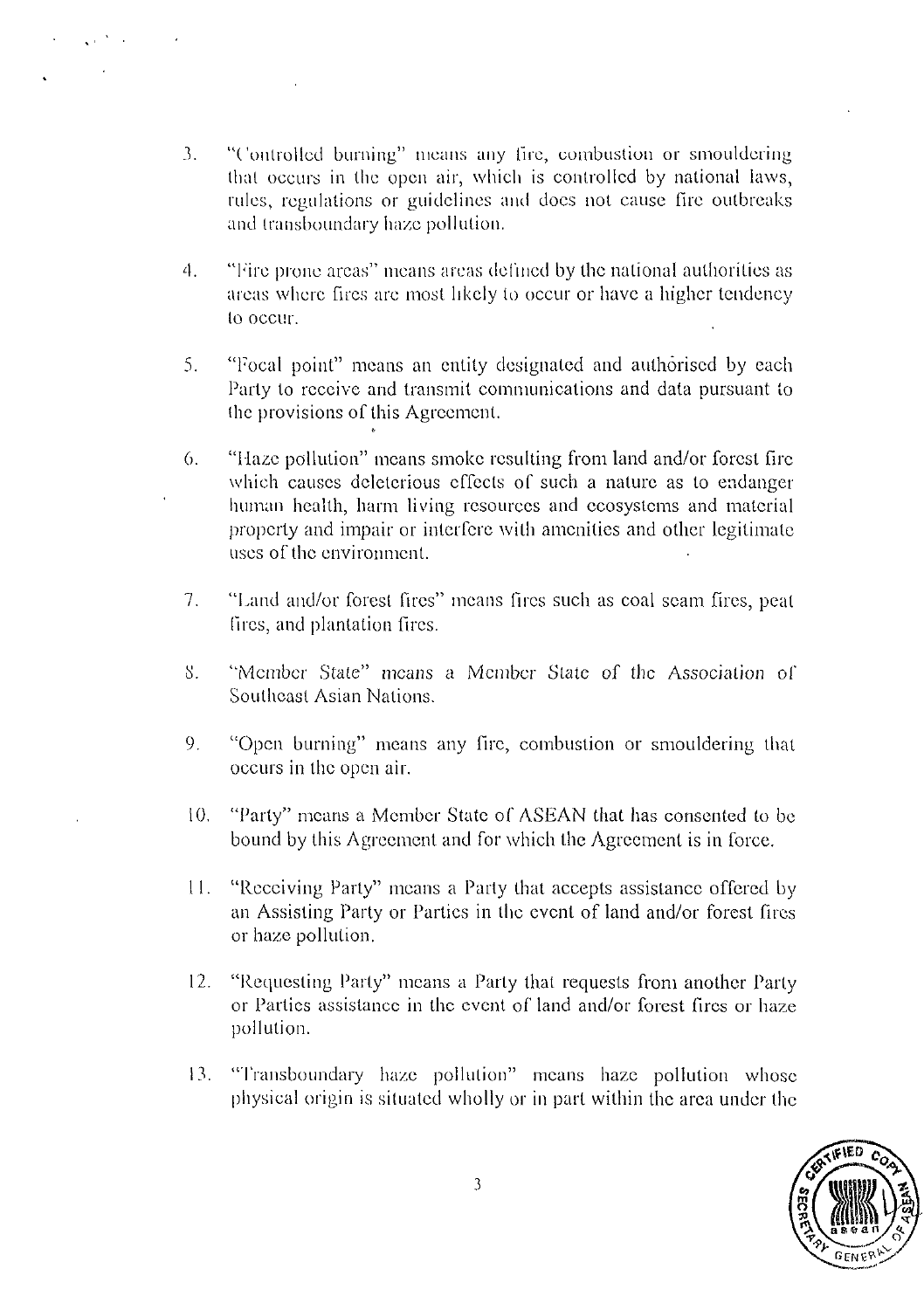- 4. "Tire prone areas" means areas defined by the national authorities as areas where fires are most likely to occur or have a higher tendency to occur.
- 5. "Focal point" means an entity designated and authorised by each Party to receive and transmit communications and data pursuant to the provisions of this Agreement.
- 6. "llaze pollution" means smoke resulting from land and/or forest fire which causes deleterious effects of such a nature as to endanger human health, harm living resources and ecosystems and material property and impair or interfere with amenities and other legitimate uses of the environment.
- 7. "Land and/or forest fires" means lires such as coal scam fires, peat fires, and plantation fires.
- 0. "Mcmber State" means a Mcmber State of the Association of Southeast Asian Nations.
- 9. "Open burning" means any fire, combustion or smouldering that occurs in the open air.
- 10. "Party" means a Member State of ASEAN that has consented to be bound by this Agreement and for which the Agrccment is in force.
- II. "Receiving Party" means a Party that acecpts assistance offered by an Assisting Party or Parties in the event of land and/or forest fires or haze pollution.
- 12. "Requesting Party" means a Party that requests from another Party or Parties assistance in the event of land and/or forest fires or haze pollution.
- 13. "Transboundary haze pollution" means haze pollution whose physical origin is situated wholly or in part within the area under the

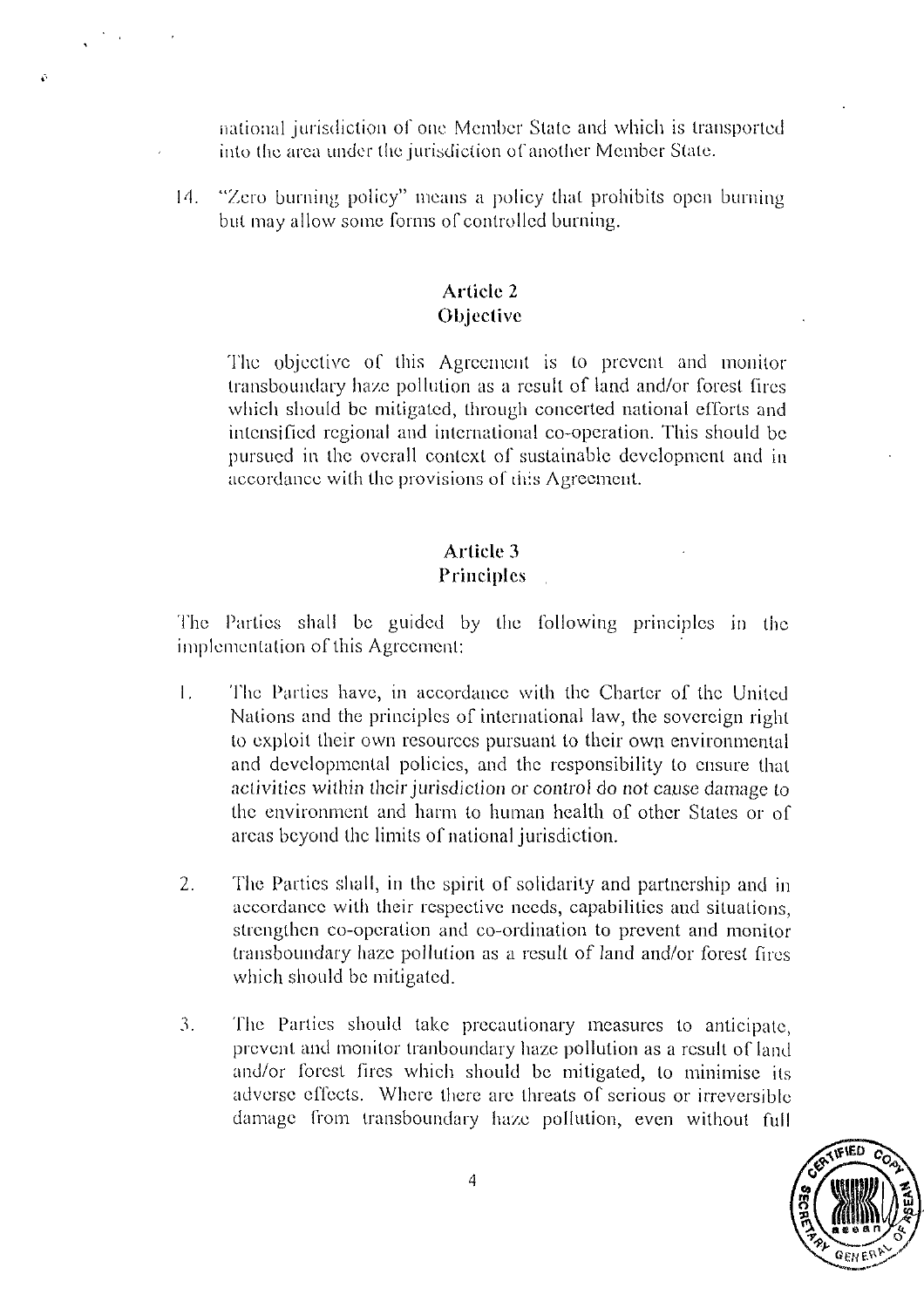national jurisdiction of onc Member State and which is transportcd into the area under the jurisdiction or another Member State.

14. "Zero burning policy" means a policy that prohibits open burning but may allow some forms of controlled burning.

Ĝ.

#### **Article** 2 **Objective**

The objective of this Agreement is to prevent and monitor transboundary haze pollution as a result of land and/or forest fires which should be mitigated, through concerted national efforts and intensified regional and international co-operation. This should be pursued in the overall context of sustainable development and in accordance with the provisions of this Agreement.

## **Article** 3 **Principles**

The Parties shall be guided by the following principles in the implementation of this Agreement:

- 1. The Parties have, in accordance with the Charter of the United Nations and thc principles of intemational law, the sovcreign right to exploit their own resources pursuant to their own environmental and developmental policies, and the responsibility to ensure that activities within their jurisdiction or control do not cause damage to the environment and harm to human health of other States or of areas beyond the limits of national jurisdiction.
- 2. The Parties Shall, in the spirit of solidarity and partnership and in accordance with their respective needs, capabilities and situations, strengthen co-operation and co-ordination to prevent and monitor lranshoundary haze pollution as a result of land and/or forest fires which should be mitigated.
- 3. The Parties should take precautionary measures to anticipate, prevent and monitor tranboundary haze pollution as a result of land and/or forest fires which should be mitigated, to minimise its adverse effects. Where there are threats of serious or irreversible damage from transboundary haze pollution, even without full

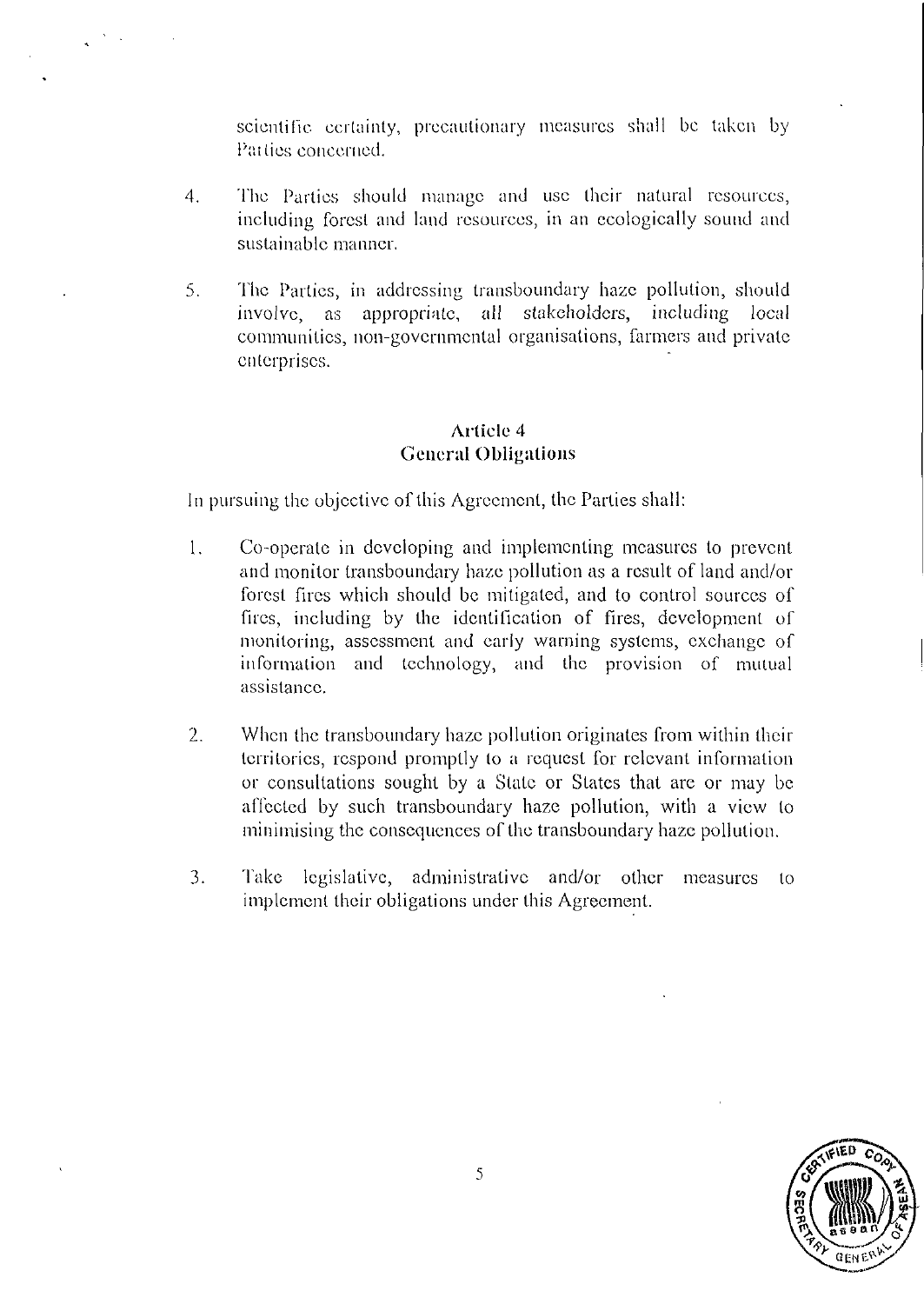scientific certainty, precautionary measures shall be taken by Parties concerned.

- 4. The Partics should manage and usc their natural resources, including forest and land resources, in an ecologically sound and sustainable manner.
- 5. The Parties, in addressing transboundary haze pollution, should involve, as appropriate, all stakeholders, including local communities, non-governmental organisations, farmers and private enterprises.

## **AI·tide 4 General Obligations**

In pursuing the objective of this Agreement, the Parties shall:

- I. Co-operate **in** developing and implementing measures to prevent and monitor transboundary haze pollution as a result of land and/or forest fires which should be mitigated, and to control sources of fires, including by the identification of fires, devclopment of monitoring, assessment and early warning systems, cxchange of information and technology, and the provision of mutual assistance.
- 2. When the transboundary haze pollution originates from within their territories, respond promplly to a request for relevant information or consultations sought by a State or States that arc or may be affected by such transboundary haze pollution, with a view to minimising the consequences of the transboundary haze pollution.
- 3. Take legislative, administrative and/or other measures to implement their obligations under this Agreement.

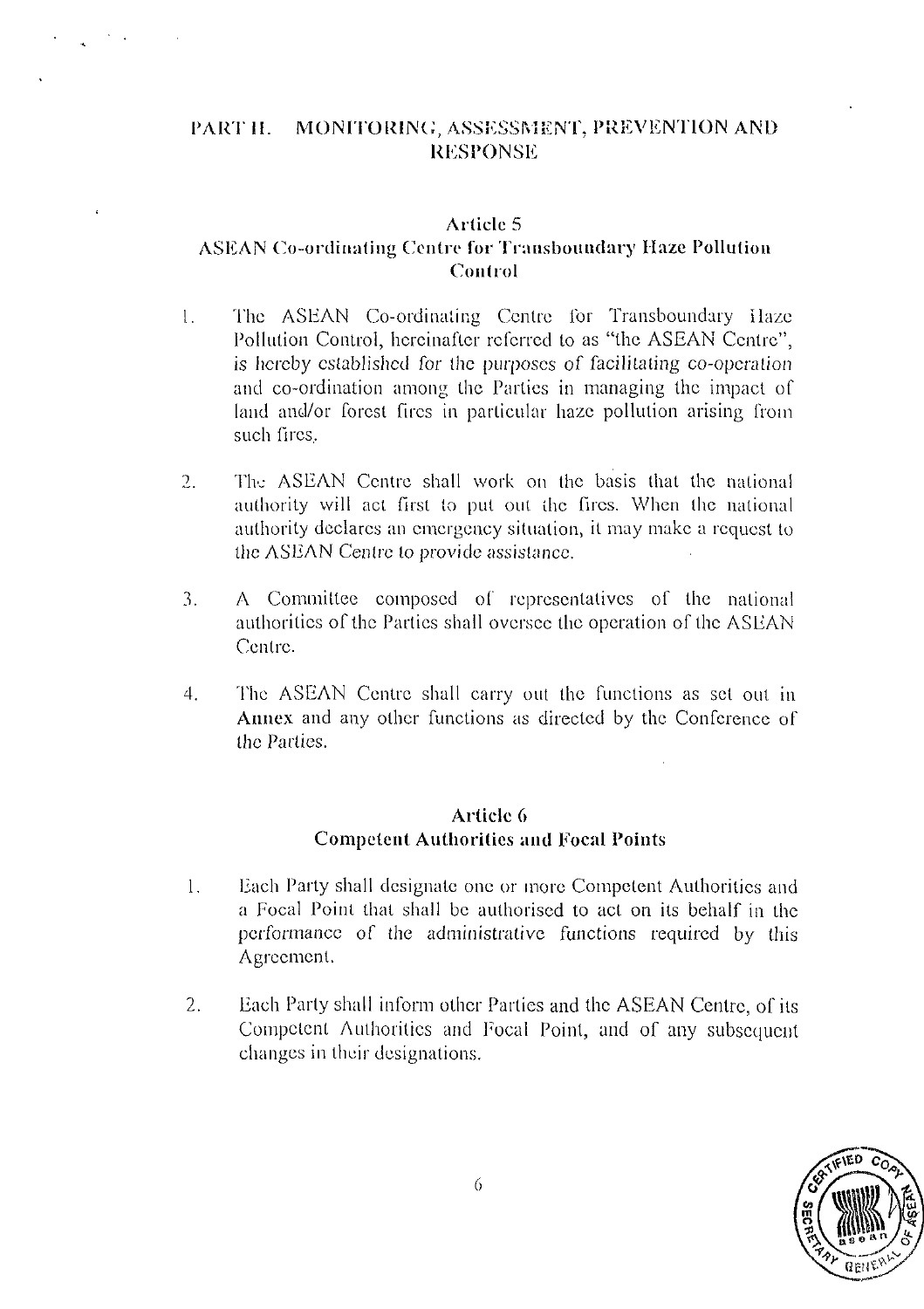## **PART II. MONITORING, ASSESSMENT, PREVENTION AND RESPONSE**

#### **Article** 5

## **ASEAN Co-ordinating Centre for Transboundary Haze Pollution Control**

- 1. The ASEAN Co-ordinating Centre for Transboundary Haze Pollution Control, hereinafter referred to as "the ASEAN Centre", is hereby established for the purposes of facilitating co-operation and co-ordination among the Parties in managing the impact of land and/or forest fires in particular haze pollution arising from such fires.
- 2. The ASEAN Centre shall work on the basis that the national authority will act first to put out the fires. When the national authority declares an emergency situation, it may make a request to the ASEAN Centre to provide assistance.
- 3. A Committce composcd of representatives of the national authorities of the Parties shall oversee the operation of the ASEAN Centre.
- 4. The ASEAN Centre shall carry out the functions as set out in **Annex** and any other functions as directed by the Conference of the Parties.

## **Article (, Competent Authorities and Focal Points**

- I. Each Party shall dcsignate onc or more Competent Authorities and a Focal Point that shall be authorised to act on its behalf in the performance of the administrative functions required by this Agreement.
- 2. Each Party shall inform other Parties and the ASEAN Centre, of its Competent Authorities and Focal Point, and of any subsequent changes in their designations.

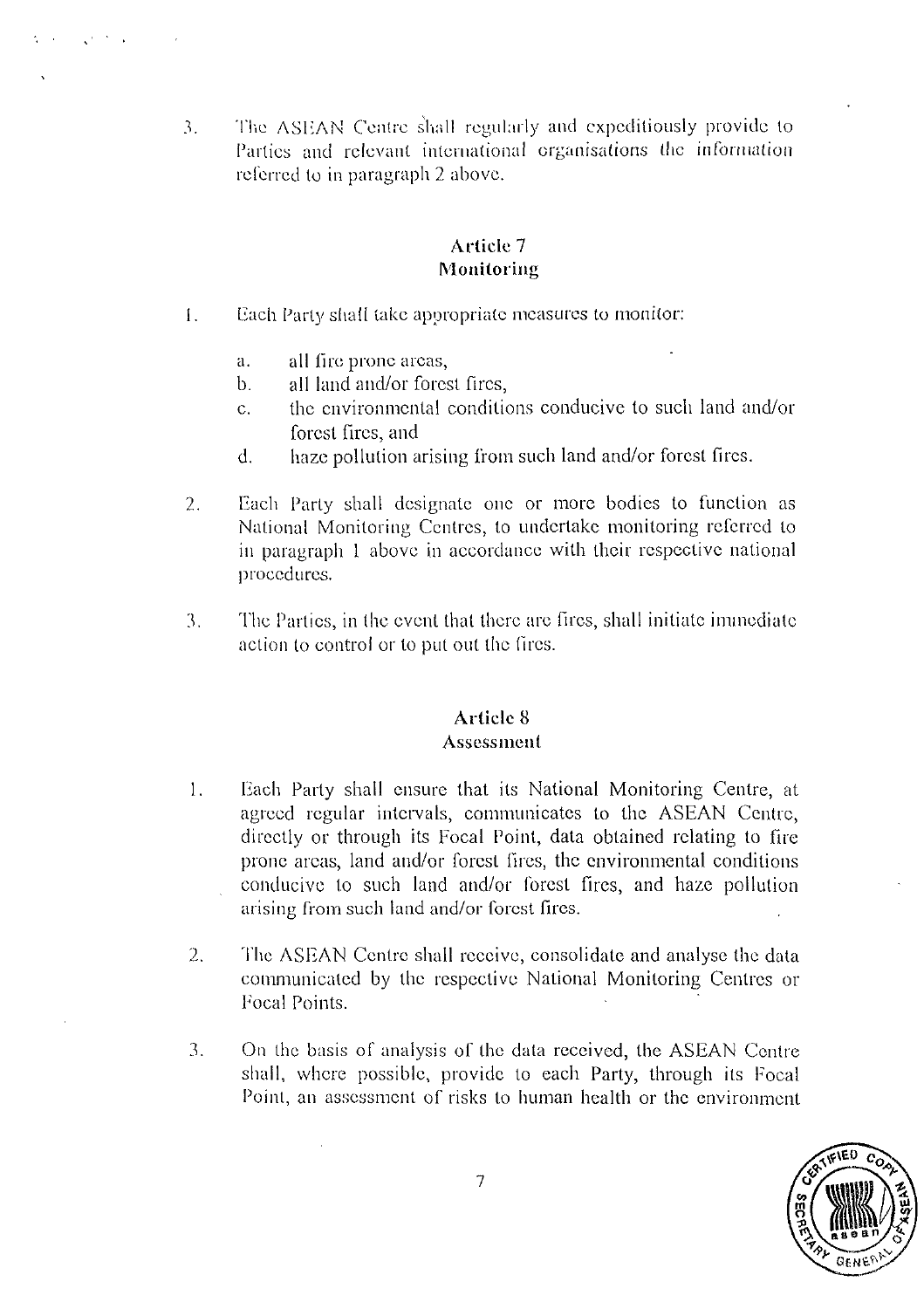3. The ASEAN Centre shall regularly and expeditiously provide to Parties and relevant international organisations the information referred to in paragraph 2 above.

## **Article** 7 **Monitoring**

- I. Each Party shall take appropriate measures to monitor:
	- a. all fire pronc arcas,
	- b. all land and/or forest fircs,
	- c. the environmental conditions conducive to such land and/or forcst fires, and
	- d. haze pollution arising from such land and/or forest fires.
- 2. Each Party shall designate one or more bodies to function as National Monitoring Centres, to undertake monitoring referred to in paragraph 1 above in accordance with their respective national procedures.
- 3. The Parties, in the event that there are fires, shall initiate immediate action to control or to put out the (ires.

# Article 8

#### Assessment

- 1. Each Party shall ensure that its National Monitoring Centre, at agreed regular intervals, communicates to the ASEAN Centre, directly or through its Focal Point, data obtained relating to fire prone areas, land and/or forest fires, the environmental conditions conducive to such land and/or {'orest fires, and haze pollution arising from such land and/or forest fires.
- 2. The ASEAN Centre shall receive;, consolidate and analyse the data communicated by thc respective; National Monitoring Centres or Focal Points.
- 3. On the basis of analysis of the data received, the ASEAN Centre shall, where possible, provide to each Party, through its Focal Point, an asscssmcnt of risks to human health or the environment

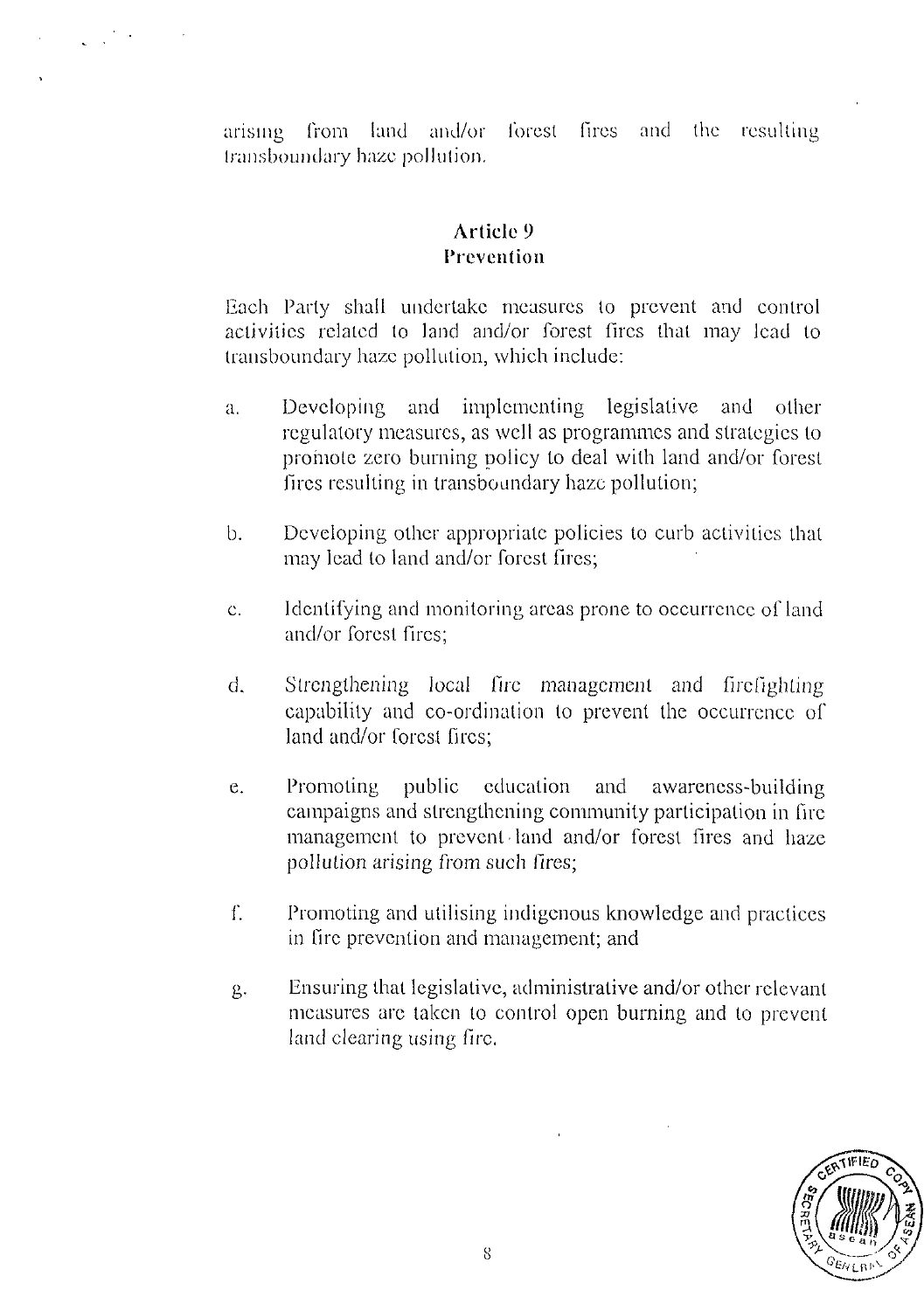arising from land and/or forest fires and the resulting transboundary haze pollution.

## **Article 9 Prevention**

Each Party shall undcrtakc measures to prevent and control activities related to land and/or forest fires that may lead to transboundary hazc pollution, which inelude:

- a. Developing and implementing legislative and other regulatory measures, as well as programmes and stralegies to promote zero burning policy to deal with land and/or forest fires resulting in transboundary haze pollution;
- b. Developing other appropriate policies to curb activities that may lead to land and/or forest fires;
- e. Identifying and monitoring areas prone to occurrence of land and/or forest fires;
- d. Strengthening local fire management and fircfighting capability and co-ordination to prevent the occurrence of land and/or forest fires;
- e. Promoting public education and awareness-building campaigns and strengthening community participation in fire management to prevent ·land and/or forest fires and haze pollution arising from such fires;
- <sup>1</sup>'. Promoting and utilising indigenous knowledge and practices in fire prevention and management; and
- g. Ensuring that legislative, administrative and/or other relevant measures are taken to control open burning and to prevent land clearing using fire.

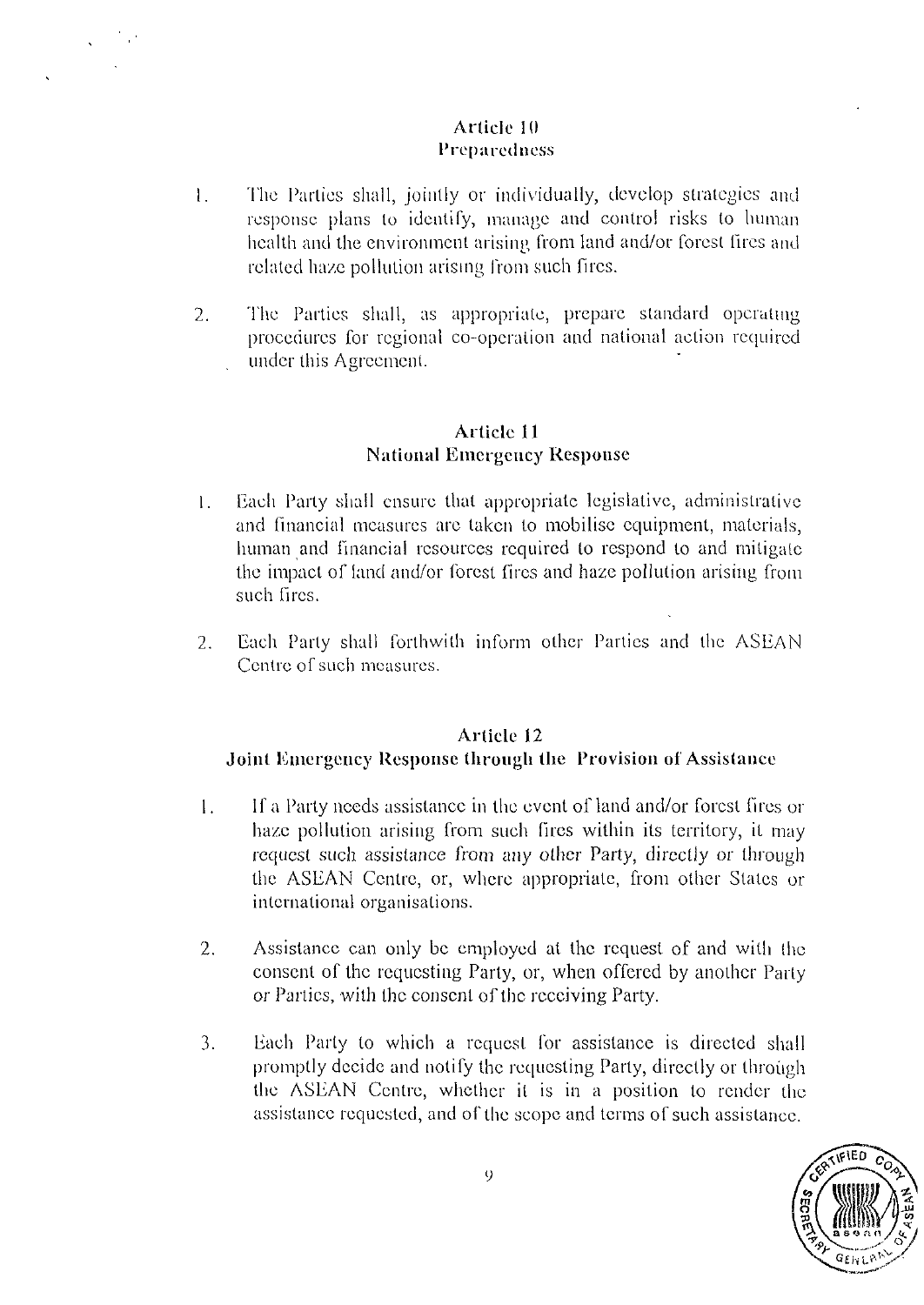#### Article 10 **Preparedness**

- The Parties shall, jointly or individually, develop strategies and  $\mathbf{L}$ response plans to identify, manage and control risks to human health and the environment arising from land and/or forest fires and related haze pollution arising from such fires.
- The Parties shall, as appropriate, prepare standard operating  $2.$ procedures for regional co-operation and national action required under this Agreement.

### Article 11 **National Emergency Response**

- Each Party shall ensure that appropriate legislative, administrative  $\mathbf{I}$ . and financial measures are taken to mobilise equipment, materials, human and financial resources required to respond to and mitigate the impact of land and/or forest fires and haze pollution arising from such fires.
- Each Party shall forthwith inform other Parties and the ASEAN 2. Centre of such measures.

#### Article 12 Joint Emergency Response through the Provision of Assistance

- $\mathbf{1}$ . If a Party needs assistance in the event of land and/or forest fires or haze pollution arising from such fires within its territory, it may request such assistance from any other Party, directly or through the ASEAN Centre, or, where appropriate, from other States or international organisations.
- $2.$ Assistance can only be employed at the request of and with the consent of the requesting Party, or, when offered by another Party or Parties, with the consent of the receiving Party.
- $3.$ Each Party to which a request for assistance is directed shall promptly decide and notify the requesting Party, directly or through the ASEAN Centre, whether it is in a position to render the assistance requested, and of the scope and terms of such assistance.

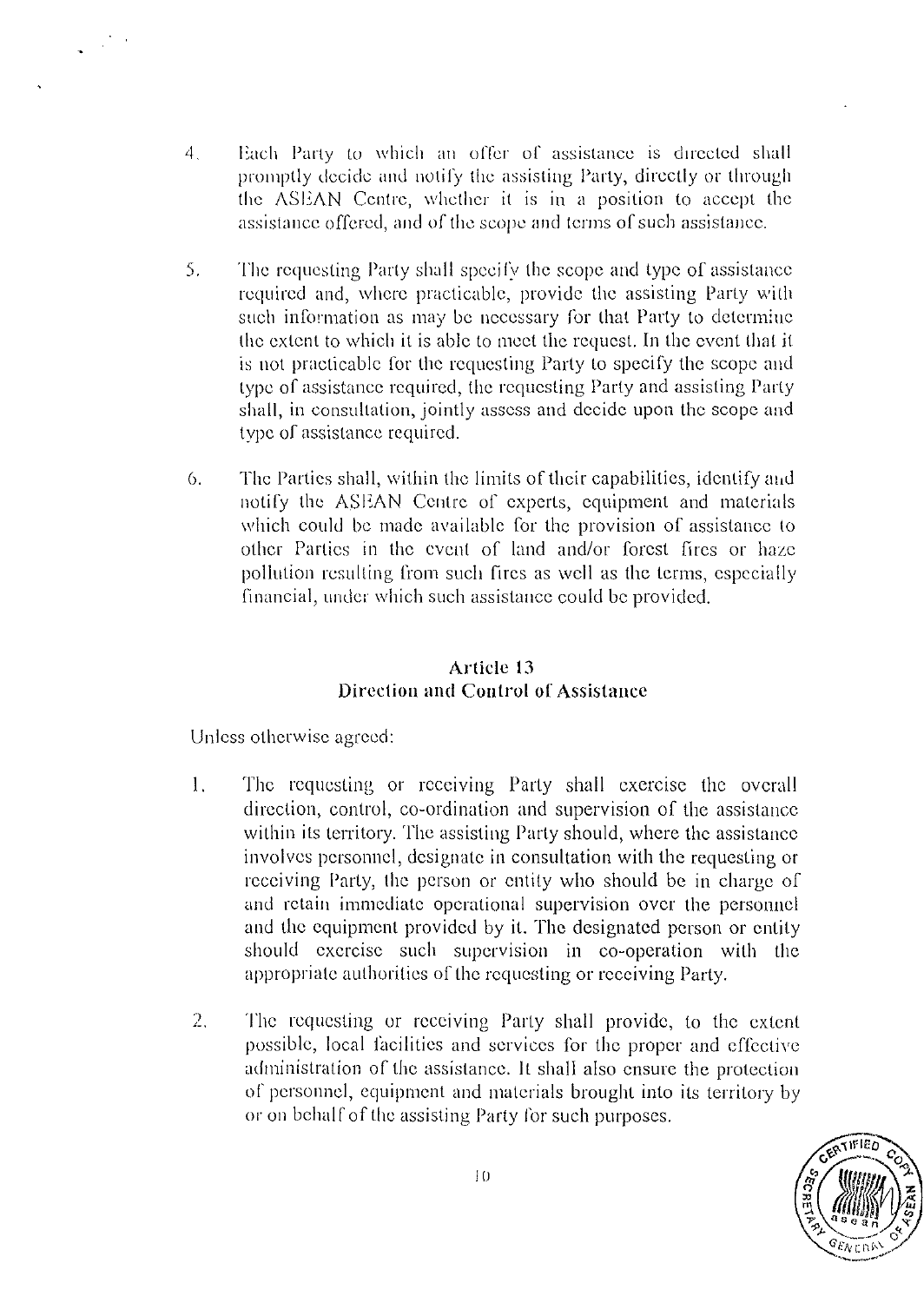- 4. Each Party to which an offer of assistance is directed shall promptly decide and notify the assisting Party, directly or through the ASEAN Centre, whether it is in a position to accept the assistance offered, and of the scope and terms of such assistance.
- 5. The requesting Party shall specify the scope and type of assistance required and, where practicable, provide the assisting Party with such information as may be necessary for that Party to determine the extent to which it is able to meet the request. In the event that it is not practicable for the requesting Party to specify the scope and type of assistance required, the requesting Party and assisting Party shall, in consultation, jointly assess and decide upon the scope and type of assistance required.
- 6. The Parties shall, within the limits of their capabilities, identify and notify the ASEAN Centre of experts, equipment and materials which could be made available for the provision of assistance to other Parties in the event of land and/or forest fires or haze pollution resulting from such fires as well as the tcrms, especially financial, undcr which such assistance could bc providcd.

## Article 13 Direction and Control of Assistance

Unlcss otherwise agreed:

- 1. The requesting or receiving Party shall exercise the overall direction, control, co-ordination and supervision of the assistance within its territory. The assisting Party should, where the assistance involves personnel, designate in consultation with the requesting or receiving Party, the person or entity who should be in charge of and retain immediate operational supervision ovcr the personnel and the equipment provided by it. The designated person or entity should excrcisc such supervision in co-operation with the appropriate authorities of the requesting or receiving Party.
- 2. The requesting or receiving Party shall provide, to the extent possible, local facilities and services for the proper and effective administration of the assistance. It shall also cnsure the protection of personncl, equipment and materials brought into its territory by or on behalf of the assisting Party for such purposes.

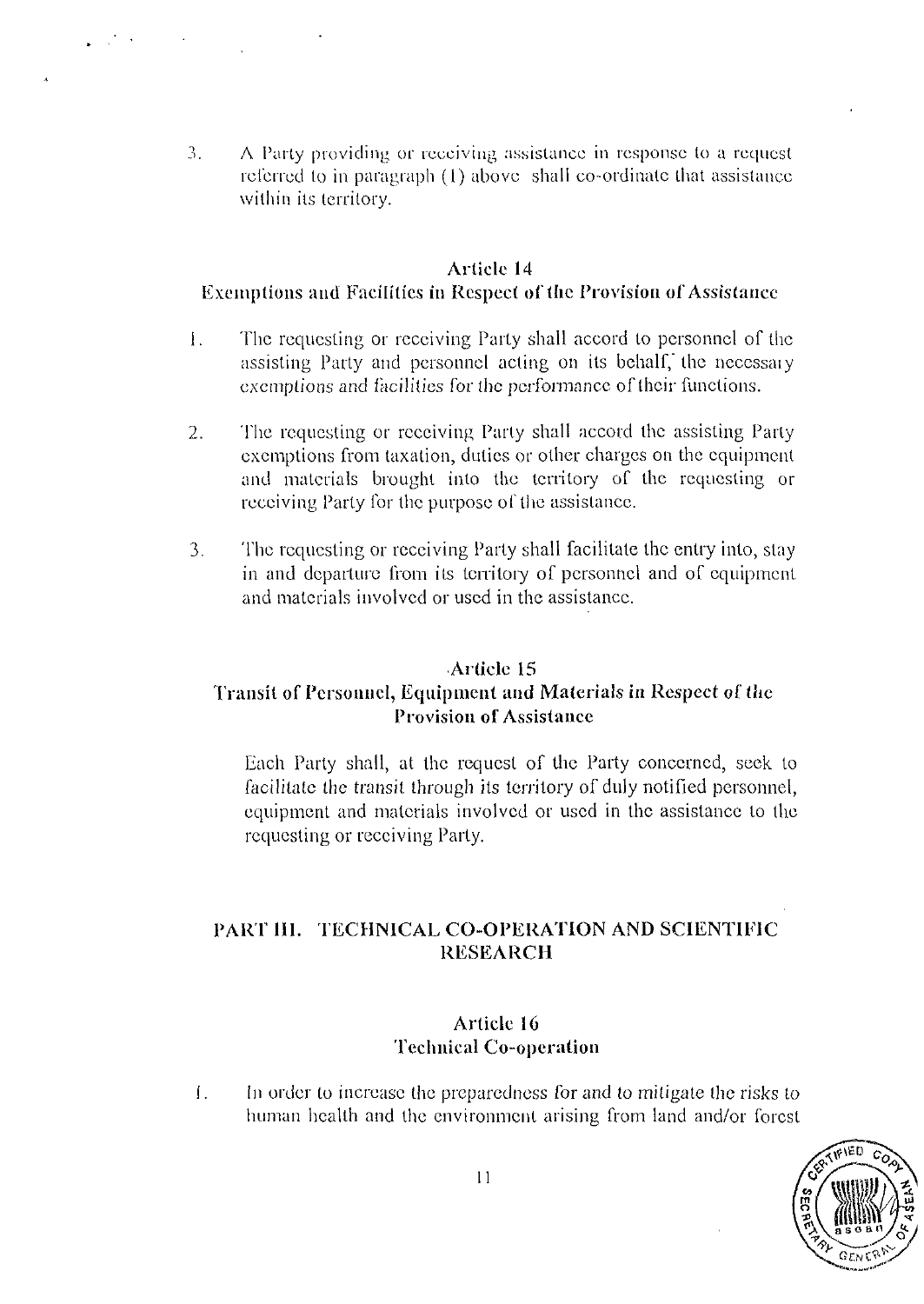3. !\ Party providing or receivlng assistance **in** response to a request referred to in paragraph  $(1)$  above shall co-ordinate that assistance within its territory.

## Article 14 Exemptions and Facilities in Respect of the Provision of Assistance

- I. Thc requesting or receiving Party shall accord to personnel of the assisting Party and personnel acting on its behalf, the necessary exemptions and facilities for the performance of their functions.
- 2. The requesting or receiving Party shall accord the assisting Party exemptions from taxation, duties or other charges on the equipment and materials brought into the territory of the requesting or receiving Party for the purpose of the assistance.
- 3. The requesting or recciving Party shall facilitate the entry into, stay in and depatiure from its territory of personnel and of equipment and materials involved or used in the assistance.

## Article 15

## Transit of Personnel, Equipment and Materials in Respect of the Provision of Assistance

Each Party shall, at thc request of the Party concerned, seck to facilitate the transit through its territory of duly notified personnel, equipment and materials involved or used in the assistance to the requesting or receiving Party.

## PART Ill. TECHNICAL CO-OPERATION AND SCIENTIFIC RESEARCH

## Article 16 Technical Co-operation

I. In order to increase the preparedness for and to mitigate the risks to human health and the environment arising from land and/or forest

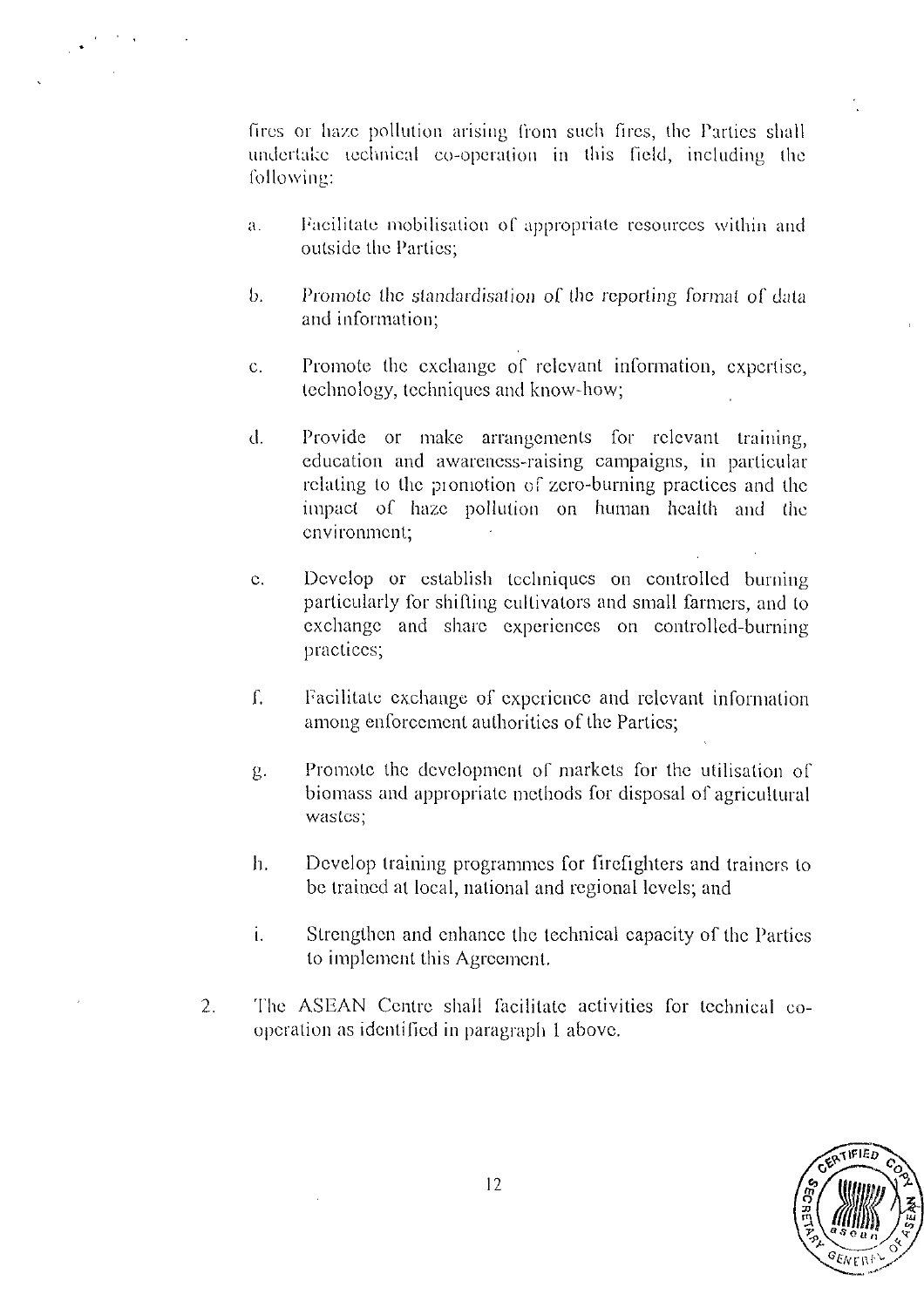fires or haze pollution arising from such fires, the Parties shall undertake technical co-operation in this field, including the following:

- a. Facilitate mobilisation of appropriate resources within and outside the Parties;
- b. Promote the standardisation of the reporting format of data and information;
- c. Promote the exchange of relevant information, expertise, technology, techniques and know-how;
- d. Provide or make arrangements for relevant training, education and awareness-raising campaigns, **in** particular relating to the promotion of zero-burning practices and the impact of haze pollution on human health and the environment:
- e. Develop or establish techniques on controlled burning particularly for shifting cultivators and small farmers, and to exchange and share experiences on controlled-burning practices;
- f. Facilitate exchange of experience and relevant information among enforcement authorities of the Parties;
- g. Promote the development of markets for the utilisation of biomass and appropriate methods for disposal of agricultural **wastes;**
- h. Develop training programmes for firefighters and trainers to be trained at local, national and regional levels; and
- i. Strengthen and enhance the technical capacity of the Parties to implement this Agreement.
- 2. The ASEAN Centre shall facilitate activities for technical cooperation as identified in paragraph I above.

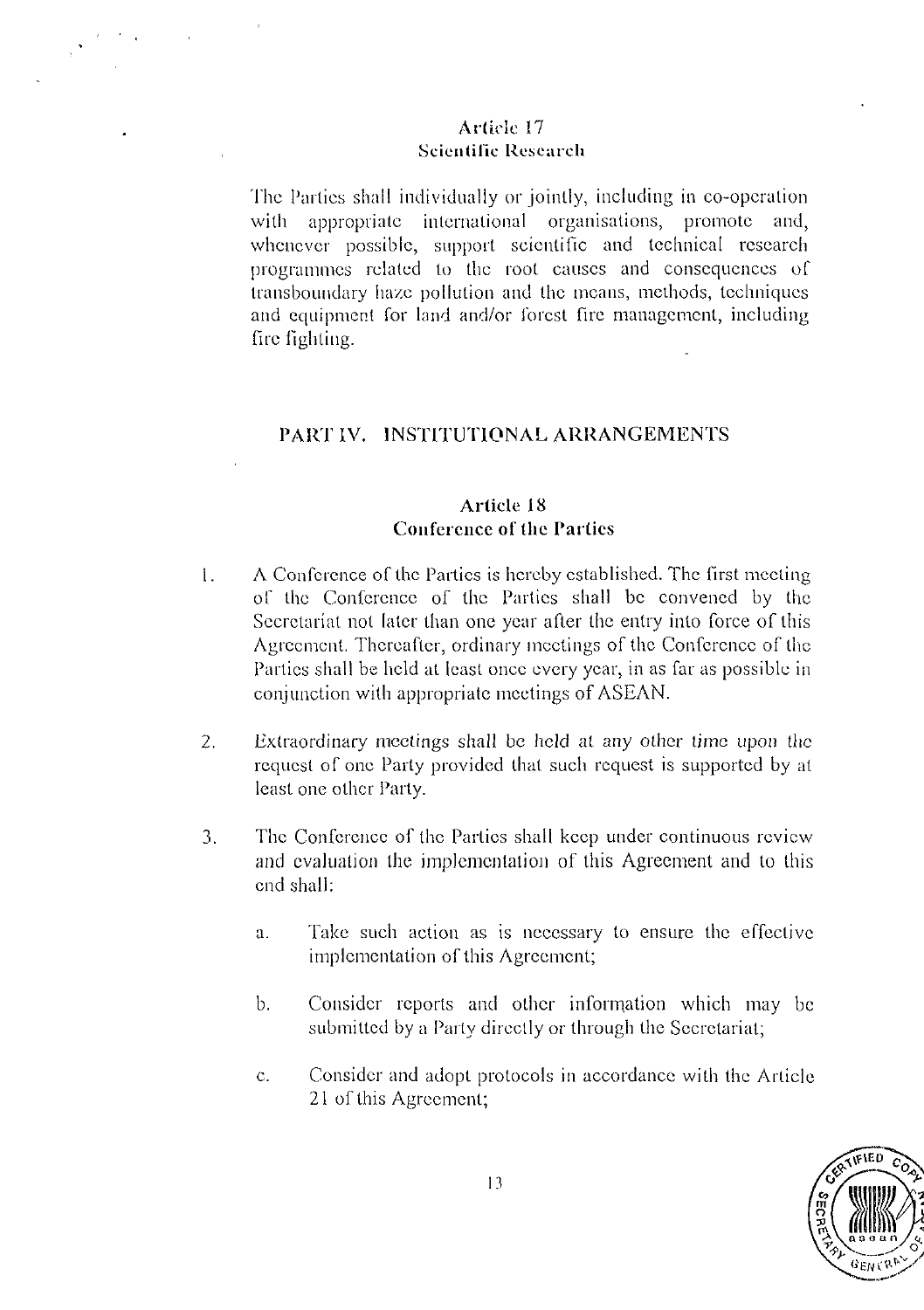#### Article 17 Scientific Research

The Parties shall individually or jointly, including in co-operation with appropriate international organisations, promote and, whenever possible, support scientific and technical research programmes related to thc root causcs and conscquences or transboundary haze pollution and the means, methods, techniques and equipment for land and/or forest fire management, including fire fighting.

## **PART** IV. INSTITUTIONAL ARRANGEMENTS

#### Article 18 Conference of the Partics

- I. A Confercnce of the Parties is hereby established. The first meeting of the Conference of the Parties shall be convened by the Secretariat not later than one year after the entry into force of this Agrcement. Thcreaftcr, ordinary meetings of the Conference of the Parties shall be held at least once every year, in as far as possible in conjunction with appropriate meetings of ASEAN.
- 2. Extraordinary meetings shall be held at any other time upon the request of one Party provided that such request is supported by at least one other Party.
- 3. The Conference of the Parties shall kcep under continuous review and evaluation thc implcmcntation of this Agrecment and to this end shall:
	- a. Take sueh action as is necessary to ensure the effective implementation of this Agreement;
	- b. Consider reports and other information which may be submitted by a Party directly or through the Secretariat;
	- c. Consider and adopt protocols in accordance with the Article 21 of this Agreement;

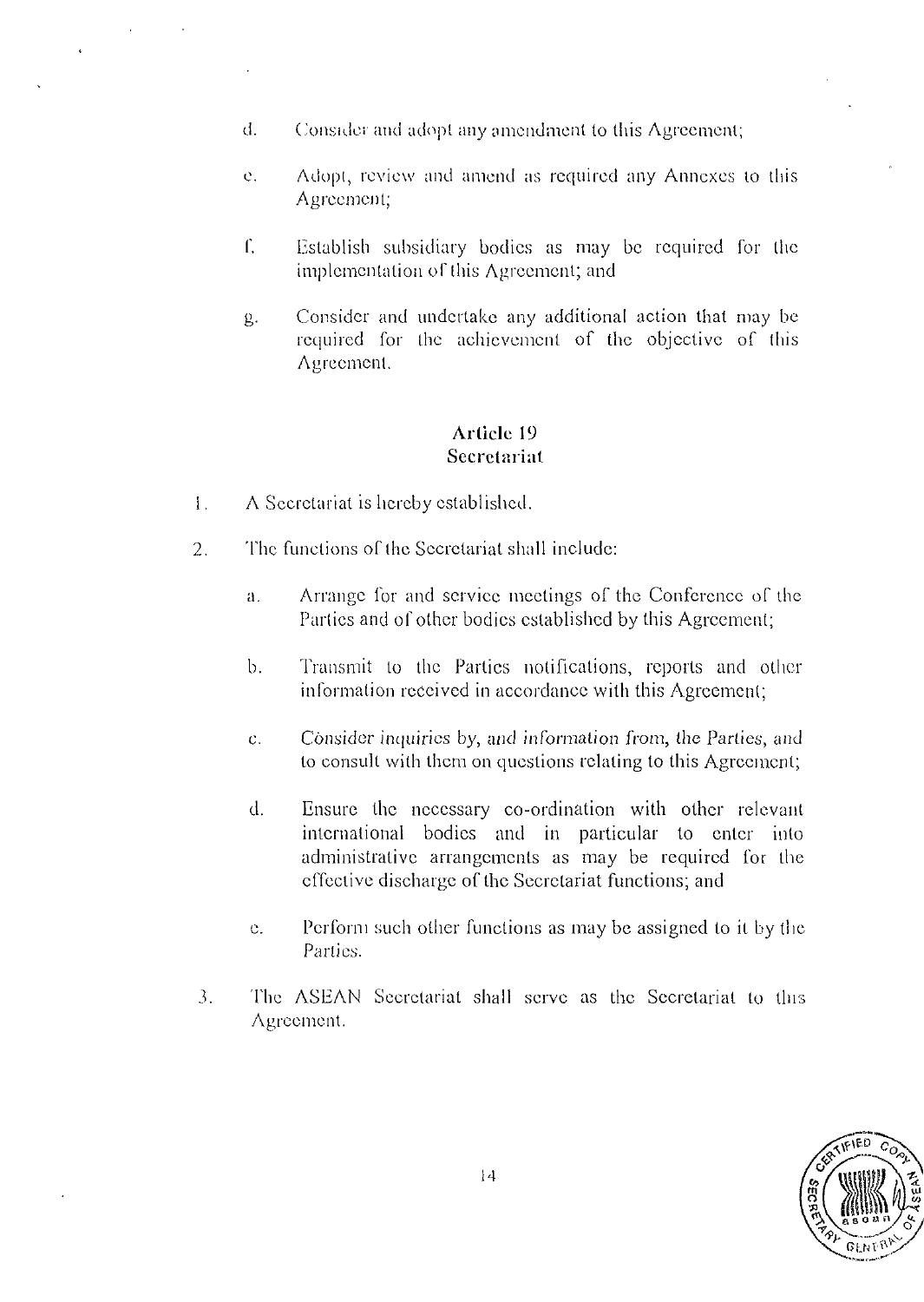- d. Consider and adopt any amendment to this Agreement;
- e. Adopt, review and amend as required any Annexes to this Agreement;
- r. Establish subsidiary bodies as may be required for tlie implementation of this Agreement; and
- g. Consider and undertake any additional action that may be required for the achievement of the objective of this Agreement.

#### Article 19 **Secretariat**

- I. A Secretariat is hereby establ ished.
- 2. The functions of the Secretariat shall include:
	- a. Arrange for and service meetings of the Conference of the Parties and of other bodies established by this Agreement;
	- b. Transmit to the Parties notifications, reports and other information received in accordance with this Agreement;
	- c. Consider inquiries by, and information from, the Parties, and to consult with thcm on questions relating to this Agreemcnt;
	- d. Ensure the necessary co-ordination with other relevant international bodies and in particular to cnter into administrative arrangements as may be required for the effective discharge of the Secretariat functions; and
	- e. Perform such other functions as may be assigned to it by the Parties.
- 3. The ASEAN Secretariat shall serve as the Secretariat to this Agreement.

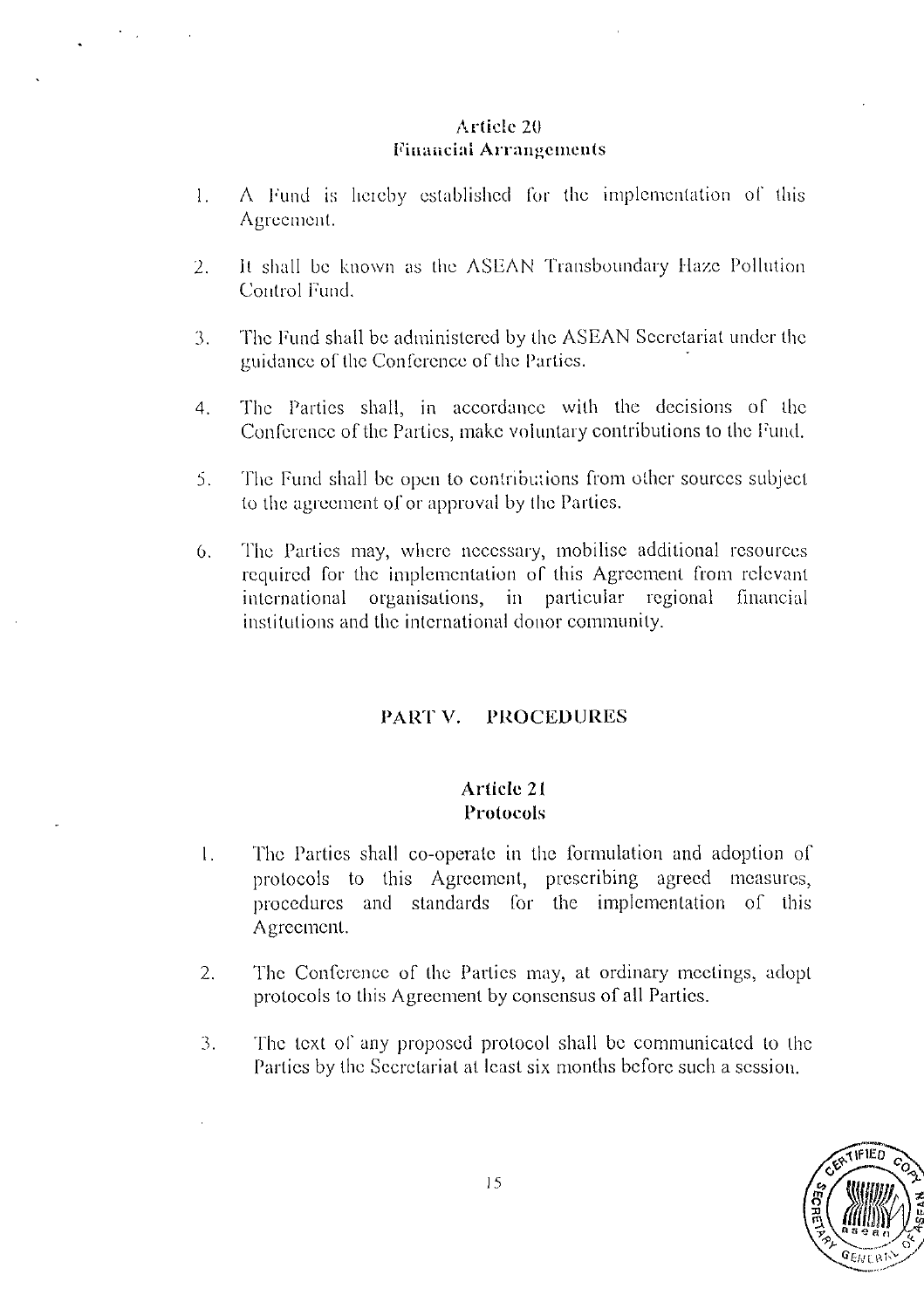#### Article 20 **Financial Arrangements**

- $\mathbf{I}$ . A Fund is hereby established for the implementation of this Agreement.
- $2.1$ It shall be known as the ASEAN Transboundary Haze Pollution Control Fund.
- The Fund shall be administered by the ASEAN Secretariat under the  $\mathfrak{B}$ . guidance of the Conference of the Parties.
- The Parties shall, in accordance with the decisions of the  $\overline{4}$ . Conference of the Parties, make voluntary contributions to the Fund.
- $\mathcal{S}$ . The Fund shall be open to contributions from other sources subject to the agreement of or approval by the Parties.
- The Parties may, where necessary, mobilise additional resources 6. required for the implementation of this Agreement from relevant organisations, in particular regional international financial institutions and the international donor community.

#### PART V **PROCEDURES**

## Article 21 **Protocols**

- The Parties shall co-operate in the formulation and adoption of  $\mathbf{L}$ protocols to this Agreement, prescribing agreed measures, procedures and standards for the implementation of this Agreement.
- The Conference of the Parties may, at ordinary meetings, adopt  $2.$ protocols to this Agreement by consensus of all Parties.
- The text of any proposed protocol shall be communicated to the  $\overline{3}$ . Parties by the Secretariat at least six months before such a session.

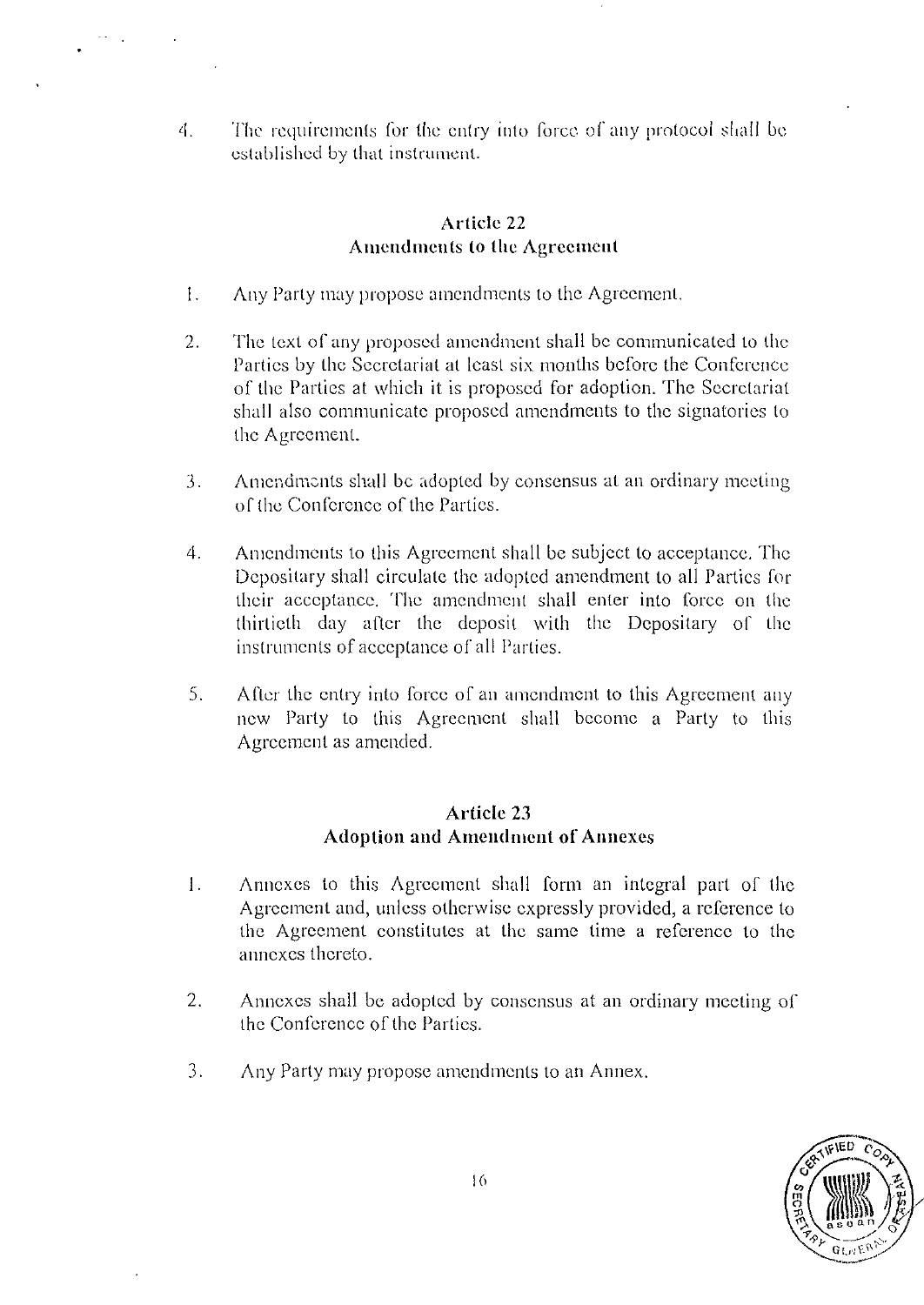4. The requirements for the entry into force of any protocol shall be established by that instrument.

### Article 22 **Amendments to the Agreement**

- $\mathbf{L}$ Any Party may propose amendments to the Agreement.
- $2.$ The text of any proposed amendment shall be communicated to the Parties by the Secretariat at least six months before the Conference of the Parties at which it is proposed for adoption. The Secretariat shall also communicate proposed amendments to the signatories to the Agreement.
- $3.$ Amendments shall be adopted by consensus at an ordinary meeting of the Conference of the Parties.
- 4. Amendments to this Agreement shall be subject to acceptance. The Depositary shall circulate the adopted amendment to all Parties for their acceptance. The amendment shall enter into force on the thirtieth day after the deposit with the Depositary of the instruments of acceptance of all Parties.
- 5. After the entry into force of an amendment to this Agreement any new Party to this Agreement shall become a Party to this Agreement as amended.

## Article 23 **Adoption and Amendment of Annexes**

- $\mathbf{1}$ . Annexes to this Agreement shall form an integral part of the Agreement and, unless otherwise expressly provided, a reference to the Agreement constitutes at the same time a reference to the annexes thereto.
- 2. Annexes shall be adopted by consensus at an ordinary meeting of the Conference of the Parties.
- 3. Any Party may propose amendments to an Annex.

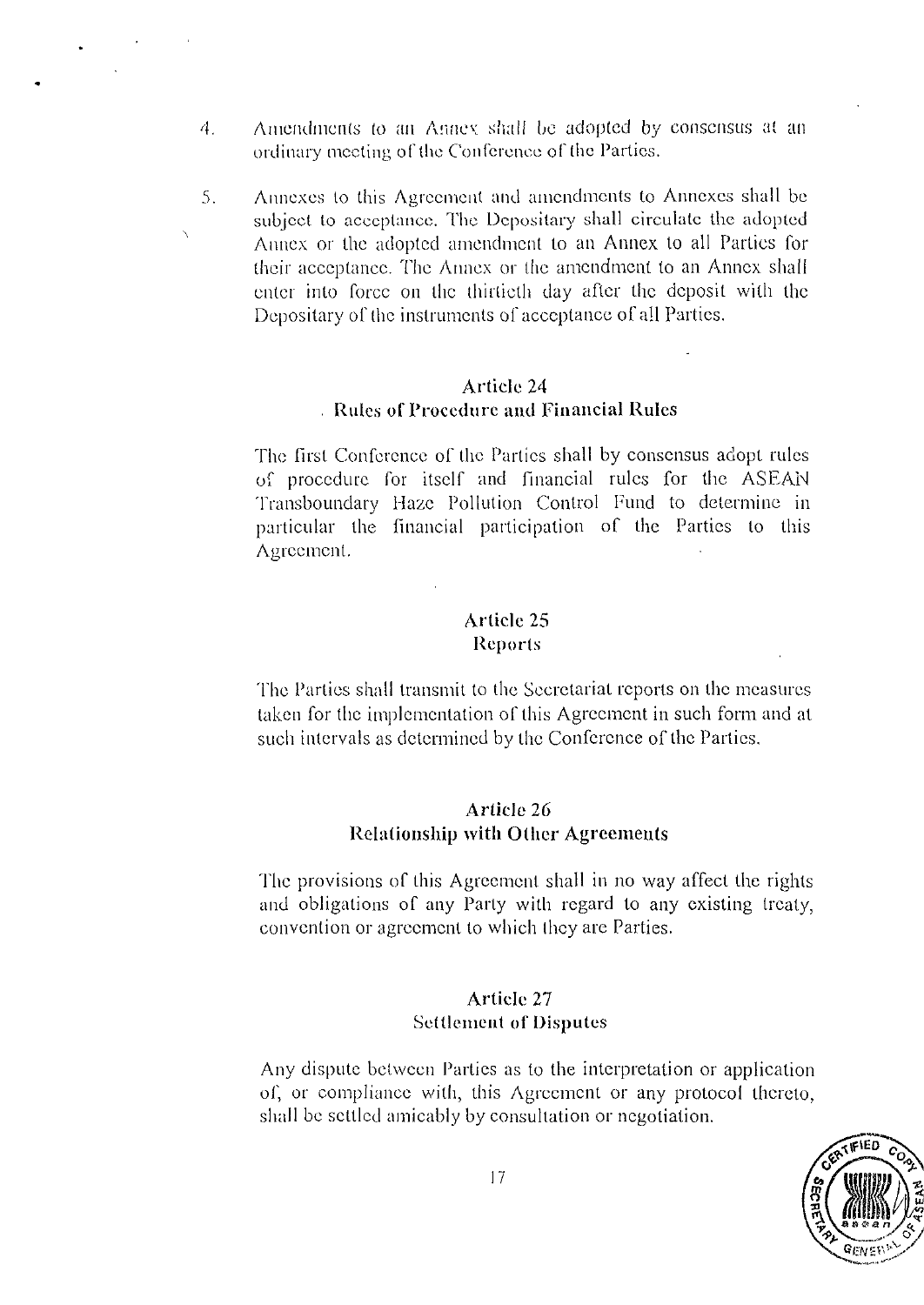- 4. All Allendlents to an Annex shall be adopted by consensus at an ordinary meeting of the Conference of the Parties.
- 5. Annexes to this Agreement and amendments to Annexes shall be subject to acceptance. The Depositary shall circulate the adopted Annex or the adopted amendment to an Annex to all Parties for their acceptance. The Annex or the amendment to an Annex shall enter into force on the thirtieth day after the deposit with the Depositary of the instruments of acceptance of all Parties.

#### Article 24 Rule:; or PI'oeedure and Financial Rules

The first Conference of the Parties shall by consensus adopt rules of procedure for itself and financial rules for the ASEAN Transboundary Haze Pollution Control Fund to determine in particular the financial participation of the Parties to this Agreement.

#### Article 25 Reports

The Parties shall transmit to the Secretariat reports on the measures taken for the implementation of this Agreement in such form and at such intervals as determined by the Conference of the Parties.

## Article 26 Relationship with Other Agreements

The provisions of this Agrcement shall in no way affect the rights and obligations of any Party with regard to any existing treaty, convention or agreement to which they are Parties.

## Article 27 Settlement of Disputes

Any dispute between Parties as to the interpretation or application of, or compliance with, this Agreement or any protocol thereto, shall be settled amicably by consultation or negotiation.

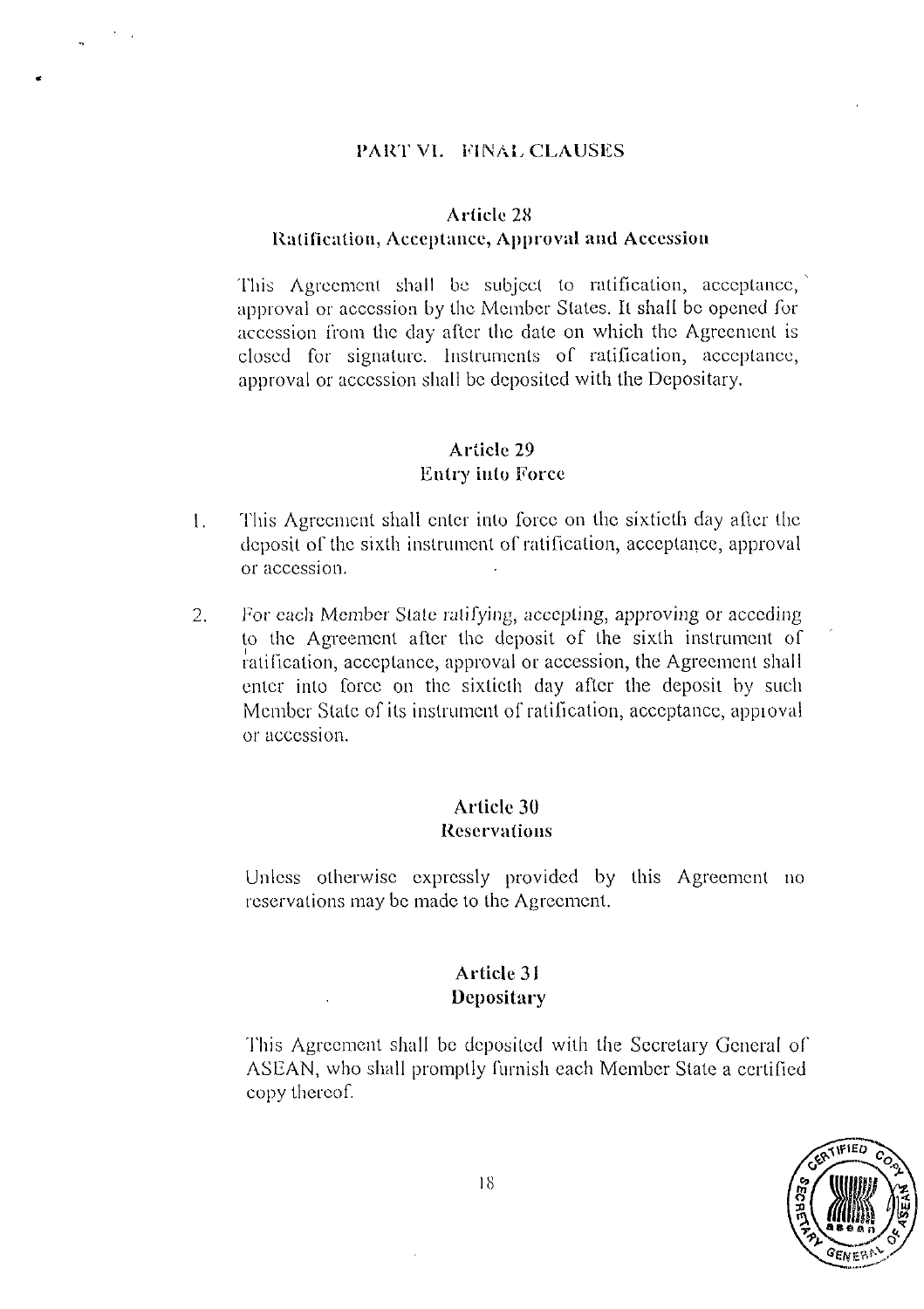#### PART VI. FINAL CLAUSES

•

#### Article 2H

#### Ratification, Acceptance, Approval and Accession

This Agreement shall be subject to ratification, acceptance,' approval or accession by the Member States. It shall be opened for accession from tlie day after the date on which the Agreement is closed for signature, Instruments of ratification, acceptance, approval or accession shall be deposited with the Depositary.

### Article 29 Entry intu Force

- I. This Agreement shall enter into force on the sixtieth day aller the deposit of the sixth instrument of ratification, acceptance, approval or accession.
- 2. For eaeh Member State ratifying, accepting, approving or acceding to the Agreement after the deposit of the sixth instrument of ratification, acceptance, approval or accession, the Agreement shall enter into force on the sixtieth day after the deposit by such Member State of its instrument of ratification, acceptance, approval or aCCCSSlon,

#### Article 30 Reservations

Unless otherwise expressly provided by this Agreement no reservations may be made to the Agreement.

## Article 31 **Depositary**

This Agreement shall be deposited with the Secretary General of' ASEAN, who shall promptly furnish each Member State a certified copy thereof.

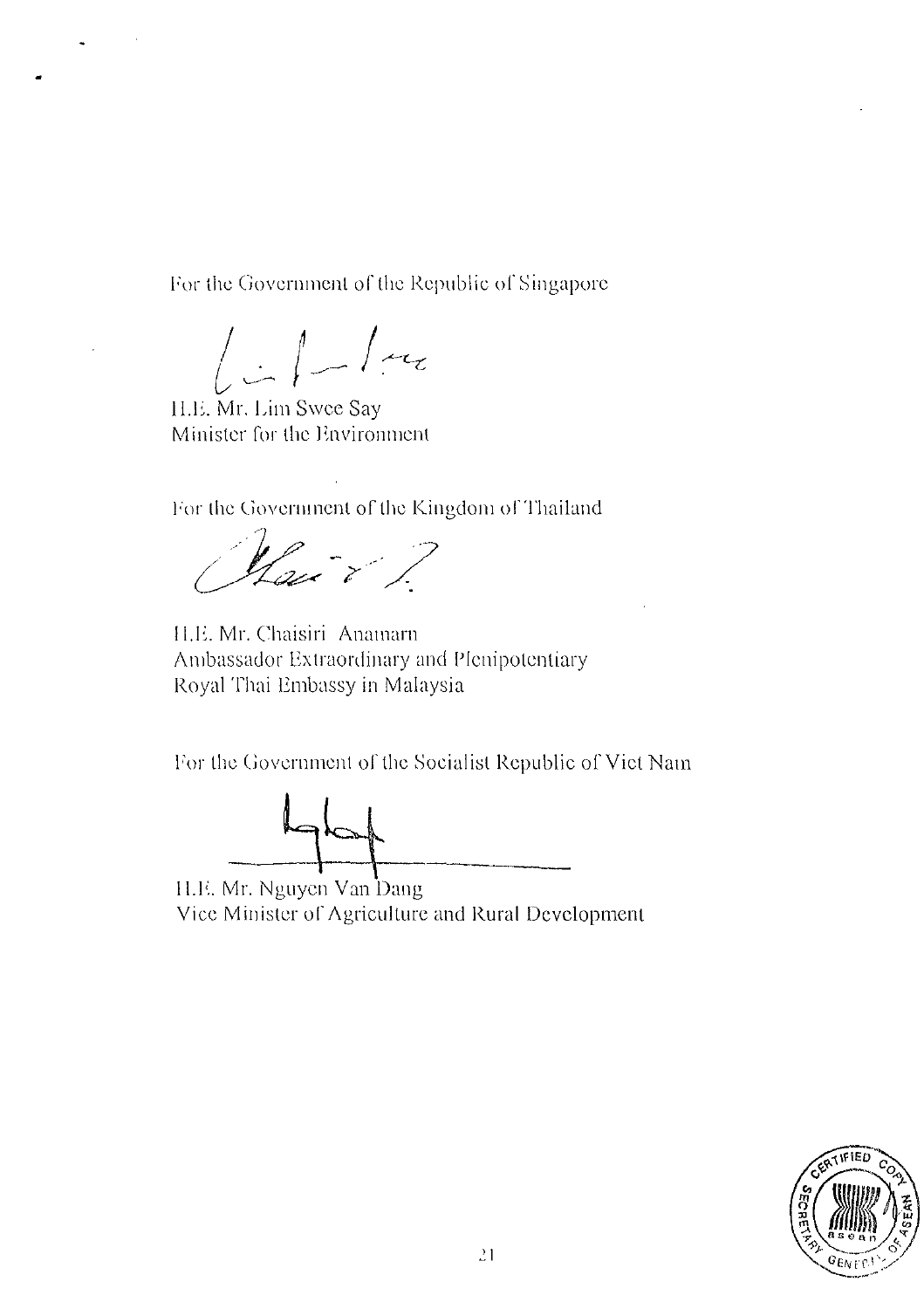For the Government of the Republic of Singapore

 $\lfloor \frac{1}{2} \rfloor - \lfloor \frac{1}{2} \rfloor$ 

H.E. Mr. Lim Swee Say Minister for the Environment

For the Government of the Kingdom of Thailand

Hair ??

H.E. Mr. Chaisiri Anamarn Ambassador Extraordinary and Plenipotentiary Royal Thai Embassy in Malaysia

For the Government of the Socialist Republic of Viet Nam

 $H_{\text{eff}}$ 

H.E. Mr. Nguyen Van Dang Vice Minister of Agriculture and Rural Development

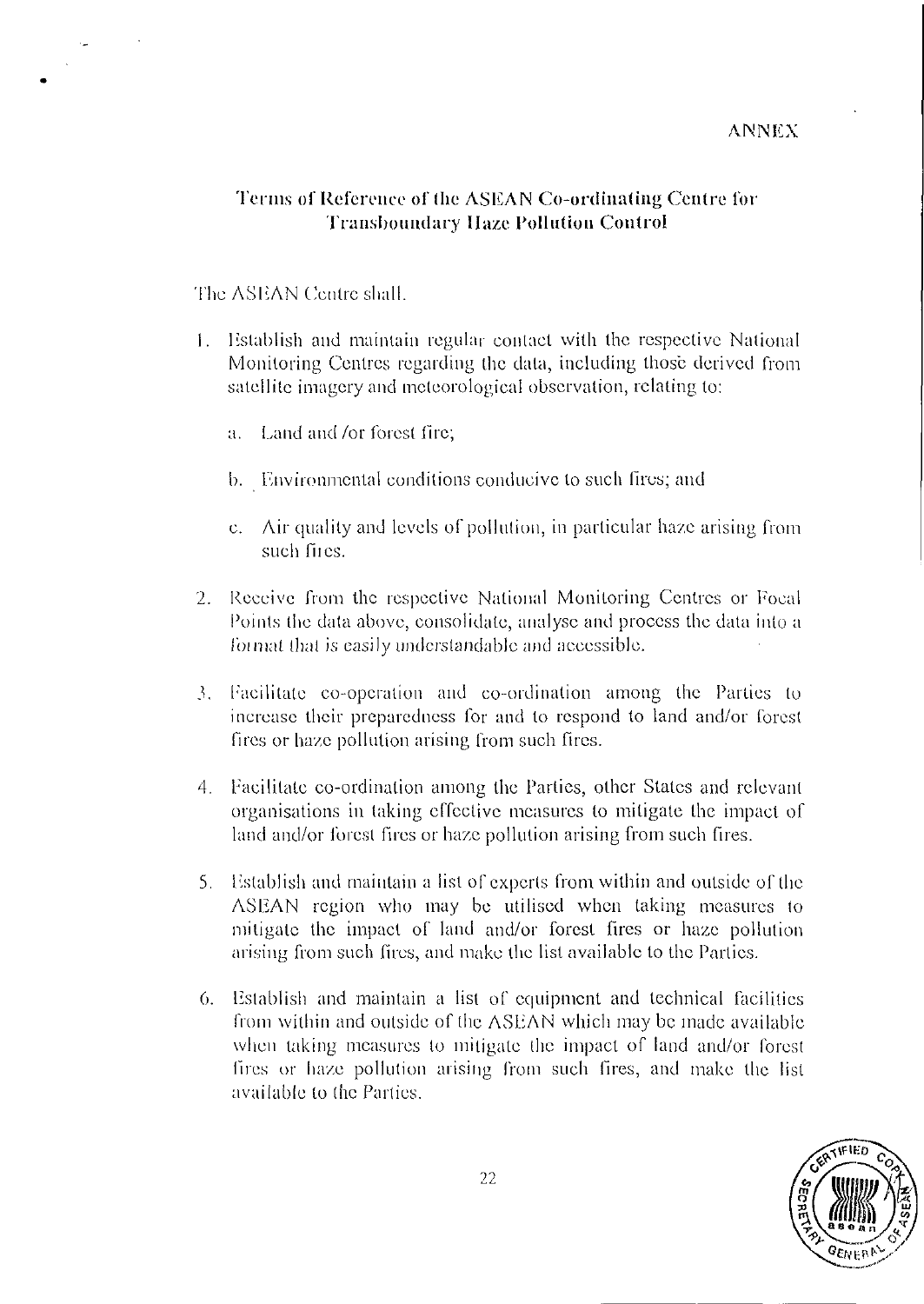## Terms of Reference of the ASEAN Co-ordinating Centre for **Transboundary Haze Pollution Control**

## The ASEAN Centre shall.

- 1. Establish and maintain regular contact with the respective National Monitoring Centres regarding the data, including those derived from satellite imagery and meteorological observation, relating to:
	- Land and /or forest fire;  $\mathbf{a}$ .
	- b. Environmental conditions conducive to such fires; and
	- c. Air quality and levels of pollution, in particular haze arising from such fires.
- 2. Receive from the respective National Monitoring Centres or Focal Points the data above, consolidate, analyse and process the data into a format that is easily understandable and accessible.
- 3. Facilitate co-operation and co-ordination among the Parties to increase their preparedness for and to respond to land and/or forest fires or haze pollution arising from such fires.
- 4. Facilitate co-ordination among the Parties, other States and relevant organisations in taking effective measures to mitigate the impact of land and/or forest fires or haze pollution arising from such fires.
- 5. Establish and maintain a list of experts from within and outside of the ASEAN region who may be utilised when taking measures to mitigate the impact of land and/or forest fires or haze pollution arising from such fires, and make the list available to the Parties.
- 6. Establish and maintain a list of equipment and technical facilities from within and outside of the ASEAN which may be made available when taking measures to mitigate the impact of land and/or forest fires or haze pollution arising from such fires, and make the list available to the Parties.

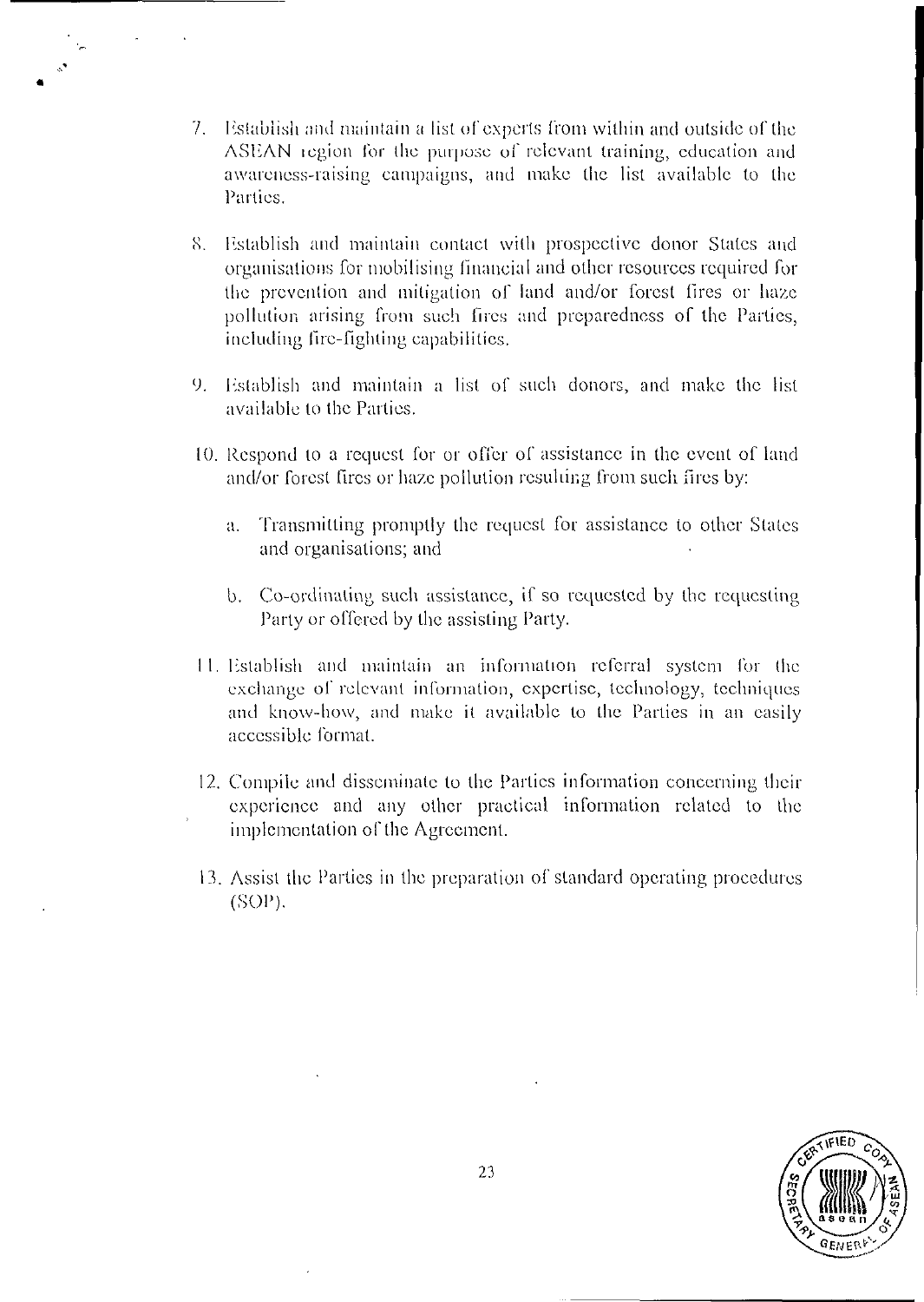- 7. Establish and maintain a list of experts from within and outside of the ASEAN region for the purpose of relevant training, education and awareness-raising campaigns, and make the list available to the Parties.
- 8. Establish and maintain contact with prospective donor States and organisations for mobilising financial and other resources required for the prevention and mitigation of land and/or forest fires or haze pollution arising from such fires and preparedness of the Parties, including fire-fighting capabilities.
- 9. Establish and maintain a list of such donors, and make the list available to the Parties.
- 10. Respond to a request for or offer of assistance in the event of land and/or forest fires or haze pollution resulting from such fires by:
	- Transmitting promptly the request for assistance to other States  $\mathbf{a}$ . and organisations; and
	- b. Co-ordinating such assistance, if so requested by the requesting Party or offered by the assisting Party.
- 11. Establish and maintain an information referral system for the exchange of relevant information, expertise, technology, techniques and know-how, and make it available to the Parties in an easily accessible format.
- 12. Compile and disseminate to the Parties information concerning their experience and any other practical information related to the implementation of the Agreement.
- 13. Assist the Parties in the preparation of standard operating procedures  $(SOP)$ .

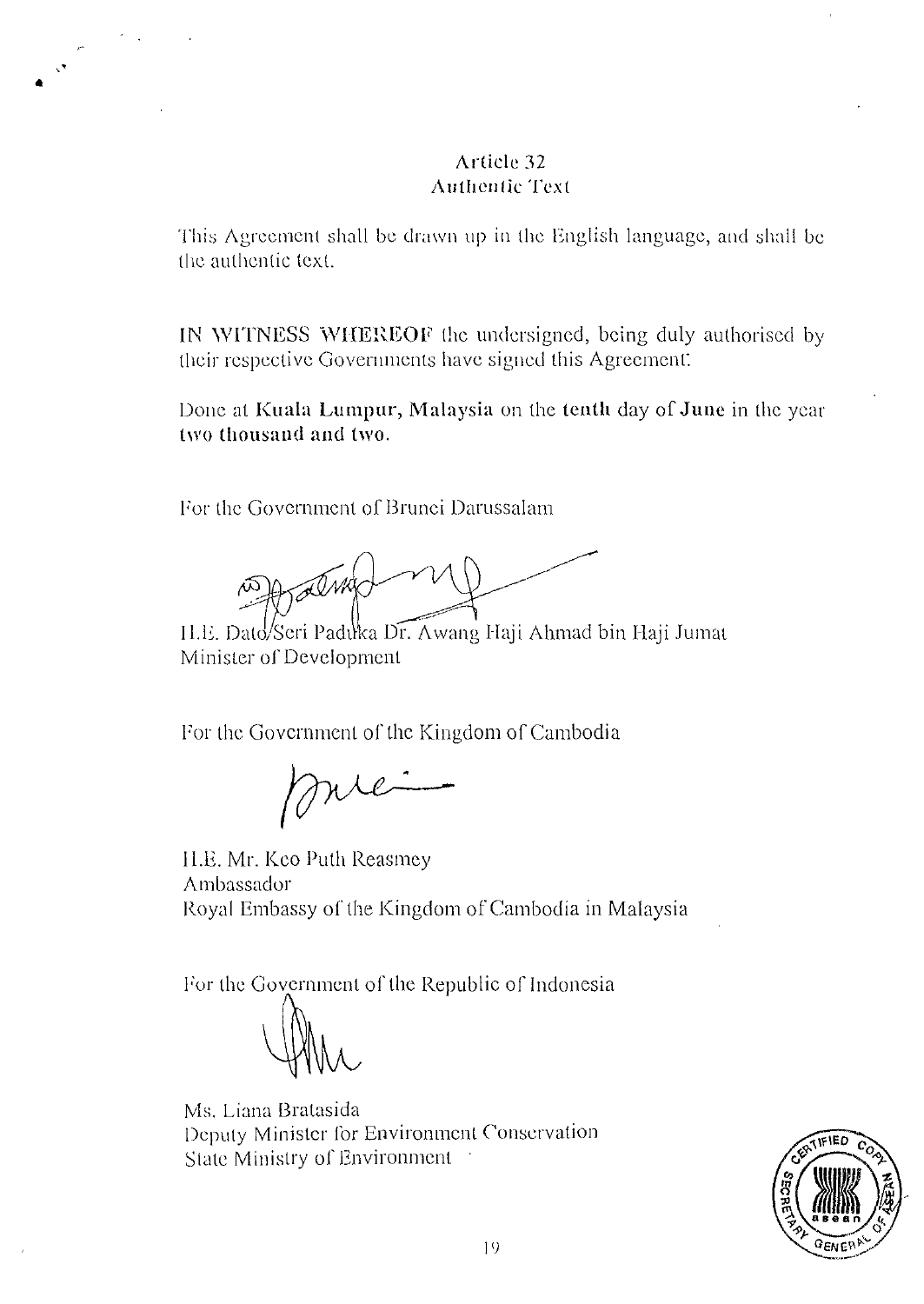## Article 32 **Authentic Text**

This Agreement shall be drawn up in the English language, and shall be the authentic text.

IN WITNESS WHEREOF the undersigned, being duly authorised by their respective Governments have signed this Agreement.

Done at Kuala Lumpur, Malaysia on the tenth day of June in the year two thousand and two.

For the Government of Brunei Darussalam

Dwa

II.E. Dato/Seri Paduka Dr. Awang Haji Ahmad bin Haji Jumat Minister of Development

For the Government of the Kingdom of Cambodia

H.E. Mr. Keo Puth Reasmey Ambassador Royal Embassy of the Kingdom of Cambodia in Malaysia

For the Government of the Republic of Indonesia

Ms. Liana Bratasida Deputy Minister for Environment Conservation State Ministry of Environment